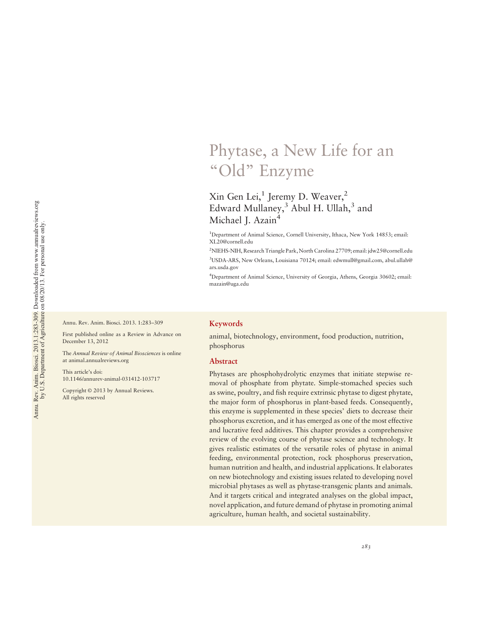## Phytase, a New Life for an "Old" Enzyme

#### Xin Gen Lei,<sup>1</sup> Jeremy D. Weaver,<sup>2</sup> Edward Mullaney, $3$  Abul H. Ullah, $3$  and Michael J. Azain<sup>4</sup>

<sup>1</sup>Department of Animal Science, Cornell University, Ithaca, New York 14853; email: XL20@cornell.edu

2 NIEHS-NIH, Research Triangle Park, North Carolina 27709; email: jdw25@cornell.edu 3 USDA-ARS, New Orleans, Louisiana 70124; email: edwmull@gmail.com, abul.ullah@ ars.usda.gov

4 Department of Animal Science, University of Georgia, Athens, Georgia 30602; email: mazain@uga.edu

Annu. Rev. Anim. Biosci. 2013. 1:283–309

First published online as a Review in Advance on December 13, 2012

The Annual Review of Animal Biosciences is online at animal.annualreviews.org

This article's doi: 10.1146/annurev-animal-031412-103717

Copyright © 2013 by Annual Reviews. All rights reserved

#### Keywords

animal, biotechnology, environment, food production, nutrition, phosphorus

#### Abstract

Phytases are phosphohydrolytic enzymes that initiate stepwise removal of phosphate from phytate. Simple-stomached species such as swine, poultry, and fish require extrinsic phytase to digest phytate, the major form of phosphorus in plant-based feeds. Consequently, this enzyme is supplemented in these species' diets to decrease their phosphorus excretion, and it has emerged as one of the most effective and lucrative feed additives. This chapter provides a comprehensive review of the evolving course of phytase science and technology. It gives realistic estimates of the versatile roles of phytase in animal feeding, environmental protection, rock phosphorus preservation, human nutrition and health, and industrial applications. It elaborates on new biotechnology and existing issues related to developing novel microbial phytases as well as phytase-transgenic plants and animals. And it targets critical and integrated analyses on the global impact, novel application, and future demand of phytase in promoting animal agriculture, human health, and societal sustainability.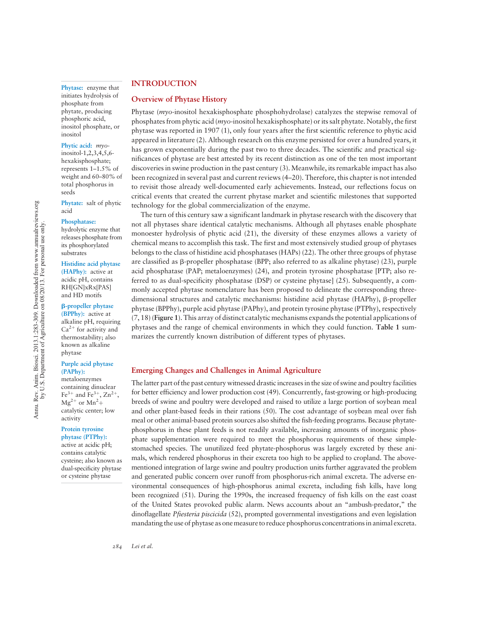Phytase: enzyme that initiates hydrolysis of phosphate from phytate, producing phosphoric acid, inositol phosphate, or inositol

#### Phytic acid: myo-

inositol-1,2,3,4,5,6 hexakisphosphate; represents 1–1.5% of weight and 60–80% of total phosphorus in seeds

Phytate: salt of phytic acid

#### Phosphatase:

hydrolytic enzyme that releases phosphate from its phosphorylated substrates

#### Histidine acid phytase

(HAPhy): active at acidic pH, contains RH[GN]xRx[PAS] and HD motifs

#### b-propeller phytase

(BPPhy): active at alkaline pH, requiring  $Ca<sup>2+</sup>$  for activity and thermostability; also known as alkaline phytase

#### Purple acid phytase (PAPhy):

metaloenzymes containing dinuclear  $Fe^{3+}$  and  $Fe^{3+}$ ,  $Zn^{2+}$ ,  $Mg^{2+}$  or  $Mn^2+$ catalytic center; low activity

#### Protein tyrosine phytase (PTPhy): active at acidic pH;

contains catalytic cysteine; also known as dual-specificity phytase or cysteine phytase

#### INTRODUCTION

#### Overview of Phytase History

Phytase (myo-inositol hexakisphosphate phosphohydrolase) catalyzes the stepwise removal of phosphates from phytic acid ( $myo$ -inositol hexakisphosphate) or its salt phytate. Notably, the first phytase was reported in 1907 (1), only four years after the first scientific reference to phytic acid appeared in literature (2). Although research on this enzyme persisted for over a hundred years, it has grown exponentially during the past two to three decades. The scientific and practical significances of phytase are best attested by its recent distinction as one of the ten most important discoveries in swine production in the past century (3). Meanwhile, its remarkable impact has also been recognized in several past and current reviews (4–20). Therefore, this chapter is not intended to revisit those already well-documented early achievements. Instead, our reflections focus on critical events that created the current phytase market and scientific milestones that supported technology for the global commercialization of the enzyme.

The turn of this century saw a significant landmark in phytase research with the discovery that not all phytases share identical catalytic mechanisms. Although all phytases enable phosphate monoester hydrolysis of phytic acid (21), the diversity of these enzymes allows a variety of chemical means to accomplish this task. The first and most extensively studied group of phytases belongs to the class of histidine acid phosphatases (HAPs) (22). The other three groups of phytase are classified as  $\beta$ -propeller phosphatase (BPP; also referred to as alkaline phytase) (23), purple acid phosphatase (PAP; metaloenzymes) (24), and protein tyrosine phosphatase [PTP; also referred to as dual-specificity phosphatase (DSP) or cysteine phytase] (25). Subsequently, a commonly accepted phytase nomenclature has been proposed to delineate the corresponding threedimensional structures and catalytic mechanisms: histidine acid phytase (HAPhy),  $\beta$ -propeller phytase (BPPhy), purple acid phytase (PAPhy), and protein tyrosine phytase (PTPhy), respectively (7, 18) (Figure 1). This array of distinct catalytic mechanisms expands the potential applications of phytases and the range of chemical environments in which they could function. Table 1 summarizes the currently known distribution of different types of phytases.

#### Emerging Changes and Challenges in Animal Agriculture

The latter part of the past century witnessed drastic increases in the size of swine and poultry facilities for better efficiency and lower production cost (49). Concurrently, fast-growing or high-producing breeds of swine and poultry were developed and raised to utilize a large portion of soybean meal and other plant-based feeds in their rations (50). The cost advantage of soybean meal over fish meal or other animal-based protein sources also shifted the fish-feeding programs. Because phytatephosphorus in these plant feeds is not readily available, increasing amounts of inorganic phosphate supplementation were required to meet the phosphorus requirements of these simplestomached species. The unutilized feed phytate-phosphorus was largely excreted by these animals, which rendered phosphorus in their excreta too high to be applied to cropland. The abovementioned integration of large swine and poultry production units further aggravated the problem and generated public concern over runoff from phosphorus-rich animal excreta. The adverse environmental consequences of high-phosphorus animal excreta, including fish kills, have long been recognized (51). During the 1990s, the increased frequency of fish kills on the east coast of the United States provoked public alarm. News accounts about an "ambush-predator," the dinoflagellate *Pfiesteria piscicida* (52), prompted governmental investigations and even legislation mandating the use of phytase as onemeasure to reduce phosphorus concentrations in animal excreta.

Annu. Rev. Anim. Biosci. 2013.1:283-309. Downloaded from www.annualreviews.org<br>by U.S. Department of Agriculture on 08/20/13. For personal use only. Annu. Rev. Anim. Biosci. 2013.1:283-309. Downloaded from www.annualreviews.org by U.S. Department of Agriculture on 08/20/13. For personal use only.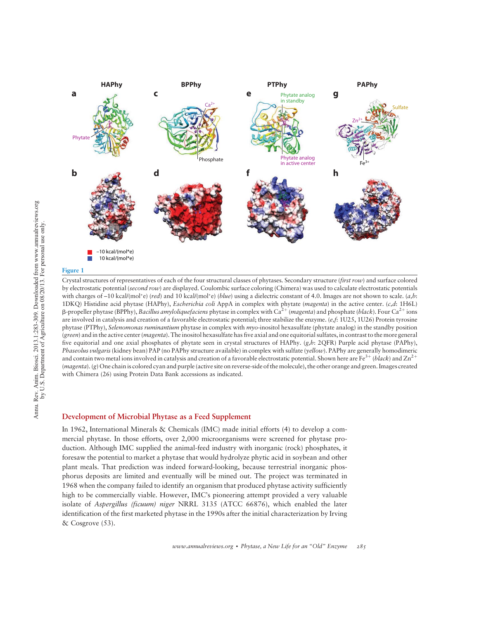

#### Figure 1

Crystal structures of representatives of each of the four structural classes of phytases. Secondary structure (first row) and surface colored by electrostatic potential (second row) are displayed. Coulombic surface coloring (Chimera) was used to calculate electrostatic potentials with charges of -10 kcal/(mol\*e) (red) and 10 kcal/(mol\*e) (blue) using a dielectric constant of 4.0. Images are not shown to scale. (a,b: 1DKQ) Histidine acid phytase (HAPhy), Escherichia coli AppA in complex with phytate (magenta) in the active center. (c,d: 1H6L)  $\beta$ -propeller phytase (BPPhy), Bacillus amylolique faciens phytase in complex with Ca<sup>2+</sup> (magenta) and phosphate (black). Four Ca<sup>2+</sup> ions are involved in catalysis and creation of a favorable electrostatic potential; three stabilize the enzyme.  $(e, f: 1U25, 1U26)$  Protein tyrosine phytase (PTPhy), Selenomonas ruminantium phytase in complex with myo-inositol hexasulfate (phytate analog) in the standby position (green) and in the active center (*magenta*). The inositol hexasulfate has five axial and one equitorial sulfates, in contrast to the more general five equitorial and one axial phosphates of phytate seen in crystal structures of HAPhy. (g,h: 2QFR) Purple acid phytase (PAPhy), Phaseolus vulgaris (kidney bean) PAP (no PAPhy structure available) in complex with sulfate (yellow). PAPhy are generally homodimeric and contain two metal ions involved in catalysis and creation of a favorable electrostatic potential. Shown here are Fe<sup>3+</sup> (black) and  $\text{Zn}^{2+}$ (*magenta*). (g) One chain is colored cyan and purple (active site on reverse-side of the molecule), the other orange and green. Images created with Chimera (26) using Protein Data Bank accessions as indicated.

#### Development of Microbial Phytase as a Feed Supplement

In 1962, International Minerals & Chemicals (IMC) made initial efforts (4) to develop a commercial phytase. In those efforts, over 2,000 microorganisms were screened for phytase production. Although IMC supplied the animal-feed industry with inorganic (rock) phosphates, it foresaw the potential to market a phytase that would hydrolyze phytic acid in soybean and other plant meals. That prediction was indeed forward-looking, because terrestrial inorganic phosphorus deposits are limited and eventually will be mined out. The project was terminated in 1968 when the company failed to identify an organism that produced phytase activity sufficiently high to be commercially viable. However, IMC's pioneering attempt provided a very valuable isolate of Aspergillus (ficuum) niger NRRL 3135 (ATCC 66876), which enabled the later identification of the first marketed phytase in the 1990s after the initial characterization by Irving & Cosgrove (53).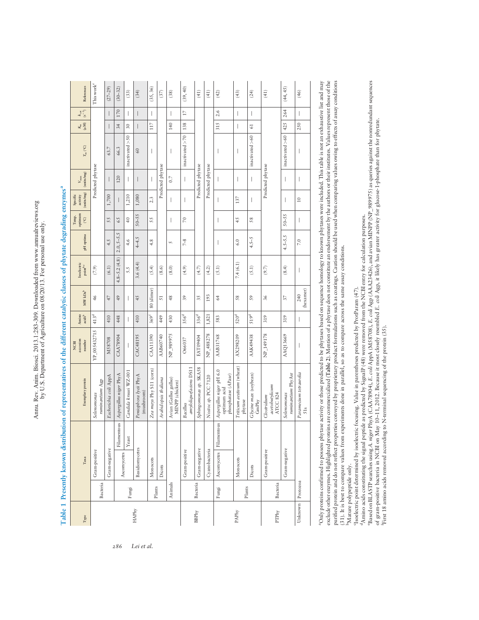| ;                                          | $ a $ nee only<br>$\ddot{\phantom{a}}$ |
|--------------------------------------------|----------------------------------------|
|                                            | E c. L/UU/O                            |
| Diegol 20012 1002 200 Des<br>$\frac{2}{3}$ | $+ -$                                  |
| $n$ <sub>im</sub><br>۸<br>سر               | $\overline{a}$<br>נ<br>;               |

| ${\rm Type}$     |          | Таха           |                           | Exemplary protein                                               | accession<br>number<br>NCBI | Amino<br>acids <sup>b</sup> | MWkDa <sup>b</sup> | Isoelectric<br>$\ensuremath{\mathsf{point}}^\ensuremath{\mathsf{b}}{}^\ensuremath{\mathsf{c}}$ | pH optima      | optimum<br>Temp.<br>$\bigcirc^\circ$ | (units/mg)<br>Specific<br>activity | (units/mg)<br>$V_{\rm max}$ | $T_{\rm m}\, (^{\circ}\rm C)$ | $(M_M)$<br>$K_{\rm m}$   | $k_{\text{at}}$<br>(s <sup>-1</sup> ) | References             |
|------------------|----------|----------------|---------------------------|-----------------------------------------------------------------|-----------------------------|-----------------------------|--------------------|------------------------------------------------------------------------------------------------|----------------|--------------------------------------|------------------------------------|-----------------------------|-------------------------------|--------------------------|---------------------------------------|------------------------|
|                  | Bacteria | Gram-positive  |                           | ruminantum Agp<br>Selenomonas                                   | YP_005432715                | 413 <sup>d</sup>            | 46                 | (7.9)                                                                                          |                |                                      |                                    | Predicted phytase           |                               |                          |                                       | This work <sup>e</sup> |
|                  |          | Gram-negative  |                           | Escherichia coli AppA                                           | M58708                      | 410                         | 47                 | (6.1)                                                                                          | 4.5            | 55                                   | 1,700                              |                             | 63.7                          |                          | I                                     | $(27 - 29)$            |
|                  |          | Ascomycetes    | Filamentous               | Aspergillus niger PhyA                                          | CAA78904                    | 448                         | 49                 | $4.8 - 5.2(4.8)$                                                                               | $2.0, 5 - 5.5$ | 65                                   |                                    | 120                         | 66.3                          | 34                       | 170                                   | $(30 - 32)$            |
|                  | Fungi    |                | Yeast                     | Candida krusei WZ-001                                           | I                           | I                           | I                  | 5.5                                                                                            | 4.6            | $\overline{40}$                      | 1,210                              | I                           | inactivated $>50$             | 30                       | I                                     | (33)                   |
| <b>HAPhy</b>     |          | Basidiomycetes |                           | Peniophora lycii PhyA<br>(mushroom)                             | CAC48195                    | 410                         | 45                 | 3.6(4.4)                                                                                       | $4 - 4.5$      | $50 - 55$                            | 1,080                              | I                           | 60                            | I                        | I                                     | (34)                   |
|                  | Plants   | Monocots       |                           | Zea mays Phy S11 (corn)                                         | <b>CAA11390</b>             | 369 <sup>t</sup>            | 80 (dimer)         | (5.4)                                                                                          | 4.8            | 55                                   | 2.3                                |                             | I                             | 117                      | $\overline{\phantom{a}}$              | (35, 36)               |
|                  |          | Dicots         |                           | Arabidopsis thaliana                                            | AAB60740                    | 449                         | $\overline{51}$    | (8.6)                                                                                          |                |                                      |                                    | Predicted phytase           |                               |                          |                                       | (37)                   |
|                  | Animals  |                |                           | Avian (Gallus gallus)<br>MINPP (chicken)                        | NP_989975                   | 430                         | 48                 | (8.0)                                                                                          | 5              | I                                    | I                                  | 0.7                         |                               | 140                      | I                                     | (38)                   |
|                  |          | Gram-positive  |                           | amyloliquefaciens DS11<br>Bacillus                              | O66037                      | 356 <sup>d</sup>            | 39                 | (4.9)                                                                                          | $7-8$          | $\approx$                            | $\mid$                             | $\mid$                      | inactivated $>70$             | 138                      | $\overline{17}$                       | (39, 40)               |
| BBPhy            | Bacteria | Gram-negative  |                           | Sphingomonas sp. SKA58                                          | EAT09404                    | 336 <sup>d</sup>            | 35                 | (4.7)                                                                                          |                |                                      |                                    | Predicted phytase           |                               |                          |                                       | (41)                   |
|                  |          | Cyanobacteria  |                           | Nostoc sp. PCC 7120                                             | NP_488278                   | 1,821                       | 193                | (4.2)                                                                                          |                |                                      |                                    | Predicted phytase           |                               |                          |                                       | (41)                   |
|                  | Fungi    |                | Ascomycetes   Filamentous | Aspergillus niger pH 6.0<br>phosphatase (APase)<br>optimum acid | AAB31768                    | 583                         | 64                 | (5.1)                                                                                          | I              | $\overline{\phantom{a}}$             | I                                  |                             | I                             | 315                      | 2.6                                   | (42)                   |
| PAPhy            | Plants   | Monocots       |                           | Triticum aestivum (wheat)<br>phytase                            | AX298209                    | 520 <sup>d</sup>            | 58                 | 7.4(6.1)                                                                                       | 6.0            | 45                                   | 137                                | I                           | I                             | $\overline{\phantom{a}}$ | $\overline{\phantom{a}}$              | (43)                   |
|                  |          | Dicots         |                           | Glycine max (soybean)<br>GmPhy                                  | AAK49438                    | 519 <sup>d</sup>            | 59                 | (5.1)                                                                                          | $4.5 - 5$      | 58                                   | I                                  | I                           | inactivated > 60              | $61$                     | I                                     | (24)                   |
| PTPhy            | Bacteria | Gram-positive  |                           | acetobutylicum<br>ATCC 824<br>Clostridum                        | NP_149178                   | 319                         | 36                 | (9.7)                                                                                          |                |                                      |                                    | Predicted phytase           |                               |                          |                                       | (41)                   |
|                  |          | Gram-negative  |                           | ruminantium PhyAsr<br>Selenomonas                               | AAQ13669                    | 319                         | 57                 | (8.4)                                                                                          | $4.5 - 5.5$    | $50 - 55$                            | I                                  | $\overline{\phantom{a}}$    | inactivated $>60$             | 425                      | 264                                   | (44, 45)               |
| Unknown Protozoa |          |                |                           | Paramecum tetraurelia<br>51s                                    | $\overline{\phantom{a}}$    | I                           | (hexamer)<br>240   | $\overline{\phantom{a}}$                                                                       | $7.0\,$        | $\overline{\phantom{a}}$             | $\overline{10}$                    | I                           | I                             | 250                      | $\overline{1}$                        | (46)                   |

Table 1 Presently known distribution of representatives of the different catalytic classes of phytate degrading enzymes<sup>a</sup> Table 1 Presently known distribution of representatives of the different catalytic classes of phytate degrading enzymes<sup>a</sup>

Only proteins confirmed to possess phytase activity or those predicted to be phytases based on sequence homology to known phytases were included. This table is not an exhaustive list and may exclude other enzymes. Highlighted proteins are commercialized (Table 2). Mention of a phytase does not constitute an endorsement by the authors or their institutes. Values represent those of the purified protein and do not reflect properties conveyed by proprietary product formulations such as coatings. Caution should be used when comparing values owing to effects of assay conditions aOnly proteins confirmed to possess phytase activity or those predicted to be phytases based on sequence homology to known phytases were included. This table is not an exhaustive list and may exclude other enzymes. Highlighted proteins are commercialized (Table 2). Mention of a phytase does not constitute an endorsement by the authors or their institutes. Values represent those of the purified protein and do not reflect properties conveyed by proprietary product formulations such as coatings. Caution should be used when comparing values owing to effects of assay conditions (31). It is best to compare values from experiments done in parallel, so as to compare across the same assay conditions. (31). It is best to compare values from experiments done in parallel, so as to compare across the same assay conditions. Mature polypeptide only. bMature polypeptide only.

Tsoelectric point determined by isoelectric focusing. Value in parentheses predicted by ProtParam (47).

dAmino acids constituting the signal peptide as predicted by SignalP (48) were removed from the NCBI entry for calculation purposes.

"Isoelectric point determined by isoelectric focusing. Value in parentheses predicted by ProtParam (47).<br>"Amino acids constituting the signal peptide as predicted by SignalP (48) were removed from the NCBI entry for calcul eBased on BLASTP searches using A. niger PhyA (CAA78904), E. coli AppA (M58708), E. coli Agp (AAA23426), and avian MINPP (NP\_989975) as queries against the nonredundant sequences

of gram-positive bacteria in NCBI on May 10–11, 2012. Because it most closely resembled E. coli Agp, it likely has greater activity for glucose-1-phosphate than for phytate.<br>First 18 amino acids removed according to N-term First 18 amino acids removed according to N-terminal sequencing of the protein (35).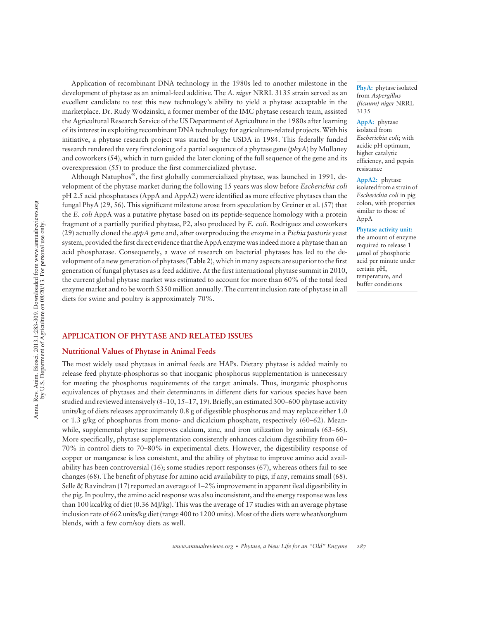Application of recombinant DNA technology in the 1980s led to another milestone in the development of phytase as an animal-feed additive. The A. niger NRRL 3135 strain served as an excellent candidate to test this new technology's ability to yield a phytase acceptable in the marketplace. Dr. Rudy Wodzinski, a former member of the IMC phytase research team, assisted the Agricultural Research Service of the US Department of Agriculture in the 1980s after learning of its interest in exploiting recombinant DNA technology for agriculture-related projects. With his initiative, a phytase research project was started by the USDA in 1984. This federally funded research rendered the very first cloning of a partial sequence of a phytase gene ( $pbyA$ ) by Mullaney and coworkers (54), which in turn guided the later cloning of the full sequence of the gene and its overexpression (55) to produce the first commercialized phytase.

Although Natuphos $\mathscr{F}$ , the first globally commercialized phytase, was launched in 1991, development of the phytase market during the following 15 years was slow before Escherichia coli pH 2.5 acid phosphatases (AppA and AppA2) were identified as more effective phytases than the fungal PhyA (29, 56). This significant milestone arose from speculation by Greiner et al. (57) that the E. coli AppA was a putative phytase based on its peptide-sequence homology with a protein fragment of a partially purified phytase, P2, also produced by E. coli. Rodriguez and coworkers  $(29)$  actually cloned the *appA* gene and, after overproducing the enzyme in a *Pichia pastoris* yeast system, provided the first direct evidence that the AppA enzyme was indeed more a phytase than an acid phosphatase. Consequently, a wave of research on bacterial phytases has led to the development of a new generation of phytases (Table 2), which in many aspects are superior to the first generation of fungal phytases as a feed additive. At the first international phytase summit in 2010, the current global phytase market was estimated to account for more than 60% of the total feed enzyme market and to be worth \$350 million annually. The current inclusion rate of phytase in all diets for swine and poultry is approximately 70%.

PhyA: phytase isolated from Aspergillus (ficuum) niger NRRL 3135

AppA: phytase isolated from Escherichia coli; with acidic pH optimum, higher catalytic efficiency, and pepsin resistance

AppA2: phytase isolated from a strain of Escherichia coli in pig colon, with properties similar to those of AppA

Phytase activity unit: the amount of enzyme required to release 1 mmol of phosphoric acid per minute under certain pH, temperature, and buffer conditions

#### APPLICATION OF PHYTASE AND RELATED ISSUES

#### Nutritional Values of Phytase in Animal Feeds

The most widely used phytases in animal feeds are HAPs. Dietary phytase is added mainly to release feed phytate-phosphorus so that inorganic phosphorus supplementation is unnecessary for meeting the phosphorus requirements of the target animals. Thus, inorganic phosphorus equivalences of phytases and their determinants in different diets for various species have been studied and reviewed intensively (8–10, 15–17, 19). Briefly, an estimated 300–600 phytase activity units/kg of diets releases approximately 0.8 g of digestible phosphorus and may replace either 1.0 or 1.3 g/kg of phosphorus from mono- and dicalcium phosphate, respectively (60–62). Meanwhile, supplemental phytase improves calcium, zinc, and iron utilization by animals (63–66). More specifically, phytase supplementation consistently enhances calcium digestibility from 60– 70% in control diets to 70–80% in experimental diets. However, the digestibility response of copper or manganese is less consistent, and the ability of phytase to improve amino acid availability has been controversial (16); some studies report responses (67), whereas others fail to see changes (68). The benefit of phytase for amino acid availability to pigs, if any, remains small (68). Selle & Ravindran (17) reported an average of 1–2% improvement in apparent ileal digestibility in the pig. In poultry, the amino acid response was also inconsistent, and the energy response was less than 100 kcal/kg of diet (0.36 MJ/kg). This was the average of 17 studies with an average phytase inclusion rate of 662 units/kg diet (range 400 to 1200 units). Most of the diets were wheat/sorghum blends, with a few corn/soy diets as well.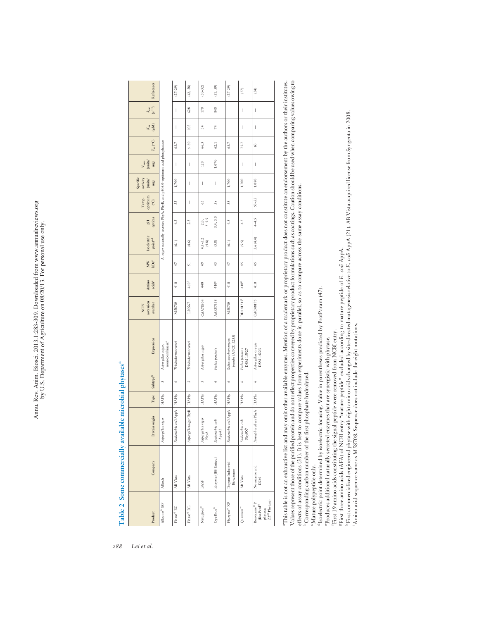| References                                              |                                                                              | $(27 - 29)$                 | (42, 58)                       | $(30 - 32)$               | (31, 59)                       | $(27 - 29)$                              | (27)                                   | (34)                                                                                                                                              |
|---------------------------------------------------------|------------------------------------------------------------------------------|-----------------------------|--------------------------------|---------------------------|--------------------------------|------------------------------------------|----------------------------------------|---------------------------------------------------------------------------------------------------------------------------------------------------|
| $(s^{-1})$<br>$k_{\rm{cut}}$                            |                                                                              | Ī                           | 628                            | 170                       | 840                            | $\begin{array}{c} \end{array}$           | I                                      | $\begin{array}{c} \end{array}$                                                                                                                    |
| $\frac{K_{\rm m}}{(\mu M)}$                             |                                                                              | I                           | 103                            | z                         | 74                             | $\begin{array}{c} \end{array}$           | I                                      | I                                                                                                                                                 |
| $T_{\rm m}\, (^{\circ}\rm C)$                           |                                                                              | 63.7                        | $> 80$                         | 66.3                      | 62.1                           | 63.7                                     | 75.7                                   | 60                                                                                                                                                |
| (units/<br>$V_{\rm max}$<br>mg)                         |                                                                              | I                           | $\begin{array}{c} \end{array}$ | 120                       | $1,070$                        | $\begin{array}{c} \end{array}$           | I                                      | $\begin{array}{c} \end{array}$                                                                                                                    |
| Specific<br>activity<br>(units/<br>mg)                  |                                                                              | 1,700                       | $\mid$                         | I                         | $\begin{array}{c} \end{array}$ | 1,700                                    | 1,700                                  | 1,080                                                                                                                                             |
| optimum<br>Temp.<br>$\widetilde{C}$                     |                                                                              | 55                          | $\begin{array}{c} \end{array}$ | 59                        | 58                             | 55                                       |                                        | 50-55                                                                                                                                             |
| optima<br>FL                                            |                                                                              | 4.5                         | 2.5                            | $5 - 5.5$<br>2.0,         | 3.4, 5.0                       | 4.5                                      | 4.5                                    | $4-5$                                                                                                                                             |
| Isoelectric<br>point <sup>e,d</sup>                     | A. niger naturally secretes PhyA, PhyB, and pH 6.0-optimum acid phosphatase. | (6.1)                       | (4.6)                          | $4.8 - 5.2$<br>(4.8)      | (5.8)                          | (6.1)                                    | (5.5)                                  | 3.6(4.4)                                                                                                                                          |
| MW<br>$\mathbf{k}\mathbf{D}\mathbf{a}^{\mathsf{c}}$     |                                                                              | 47                          | 51                             | 49                        | 45                             | 47                                       | 45                                     | 45                                                                                                                                                |
| Amino<br>acids <sup>c</sup>                             |                                                                              | 410                         | 460 <sup>4</sup>               | 448                       | 410 <sup>8</sup>               | 410                                      | 410 <sup>8</sup>                       | 410                                                                                                                                               |
| accession<br>number<br><b>NCBI</b>                      |                                                                              | M58708                      | L20567                         | CAA78904                  | AAR87658                       | M58708                                   | DD141515 <sup>*</sup>                  | CAC48195                                                                                                                                          |
| Expression                                              | nonrecombinant <sup>e</sup><br>Aspergillus niger,                            | Trichoderna reesei          | Trichoderma reesei             | Aspergillus niger         | Pichia pastoris                | pombe (ATCC 5233)<br>Schizosaccharonyces | Pichia pastoris<br>DSM 15927           | Aspergillus oryzae<br>DSM 14223                                                                                                                   |
| $\ensuremath{\mathsf{Subtype}}^\ensuremath{\mathsf{b}}$ | $\epsilon$                                                                   | $\circ$                     | $\epsilon$                     | $\epsilon$                | v                              | Ġ                                        | Ġ                                      | $\circ$                                                                                                                                           |
| ${\rm Type}$                                            | <b>HAPhy</b>                                                                 |                             | <b>HAPhy</b>                   | <b>HAPhy</b>              | <b>HAPhy</b>                   | <b>HAPhy</b>                             | <b>HAPhy</b>                           |                                                                                                                                                   |
| Protein origin                                          | Aspergillus niger                                                            | Escherichia coli AppA HAPhy | Aspergillus niger PhyB         | Aspergillus niger<br>PhyA | Escherichia coli<br>AppA2      | Escherichia coli AppA                    | Escherichia coli<br>Phy9X <sup>h</sup> | Peniophora lycii PhyA HAPhy                                                                                                                       |
| Company                                                 | Alltech                                                                      | AB Vista                    | AB Vista                       | BASF                      | Enzyvia (JBS United)           | Dupont Industrial<br>Biosciences         | AB Vista                               | Novozyme and<br><b>DSM</b>                                                                                                                        |
| Product                                                 | $\text{Allzyme}^{\circledR}$ SSF                                             | Finase <sup>®</sup> EC      | $\mathrm{Finase}^\otimes$ P/L  | Natuphos <sup>®</sup>     | OptiPhos <sup>®</sup>          | $\mathrm{Phyzym}e^\circledast$ XP        | $Quantum$ <sup>18</sup>                | phytase, $\frac{1}{2} \nabla^{\circledast} \, \text{Phyrase} \big)$<br>Ronozyme $^\circledR$<br>$\left(\mbox{Bio-}\mathsf{Feed}^{\otimes}\right)$ |

Table 2 Some commercially available microbial phytases<sup>a</sup> Table 2 Some commercially available microbial phytases<sup>a</sup>

Values represent those of the purified protein and do not reflect properties conveyed by proprietary product formulations such as coatings. Caution should be used when comparing values owing to effects of assay conditions "This table is not an exhaustive list and may omit other available enzymes. Mention of a trademark or proprietary product does not constitute an endorsement by the authors or their institutes. aThis table is not an exhaustive list and may omit other available enzymes. Mention of a trademark or proprietary product does not constitute an endorsement by the authors or their institutes. Values represent those of the purified protein and do not reflect properties conveyed by proprietary product formulations such as coatings. Caution should be used when comparing values owing to effects of assay conditions (31). It is best to compare values from experiments done in parallel, so as to compare across the same assay conditions. <sup>b</sup>Corresponding carbon number of the first phosphate hydrolyzed. bCorresponding carbon number of the first phosphate hydrolyzed.

'Mature polypeptide only. cMature polypeptide only.

<sup>4</sup>Isoelectric point determined by isoelectric focusing, Value in parentheses predicted by ProtParam (47). dIsoelectric point determined by isoelectric focusing. Value in parentheses predicted by ProtParam (47).

Produces additional naturally secreted enzymes that are synergistic with phytase. eProduces additional naturally secreted enzymes that are synergistic with phytase.

First 19 amino acids constituting the signal peptide were removed from NCBI entry. fFirst 19 amino acids constituting the signal peptide were removed from NCBI entry.

gFirst three amino acids (AFA) of NCBI entry "mature peptide" excluded according to mature peptide of E. coli AppA.

<sup>g</sup>First three amino acids (AFA) of NCBI entry "mature peptide" excluded according to mature peptide of *E. coli* AppA.<br><sup>h</sup>First commercialized engineered phytase with eight amino acids changed by site-directed mutagenesis hFirst commercialized engineered phytase with eight amino acids changed by site-directed mutagenesis relative to E. coli AppA (21). AB Vista acquired license from Syngenta in 2008.

Amino acid sequence same as M58708. Sequence does not include the eight mutations. iAmino acid sequence same as M58708. Sequence does not include the eight mutations.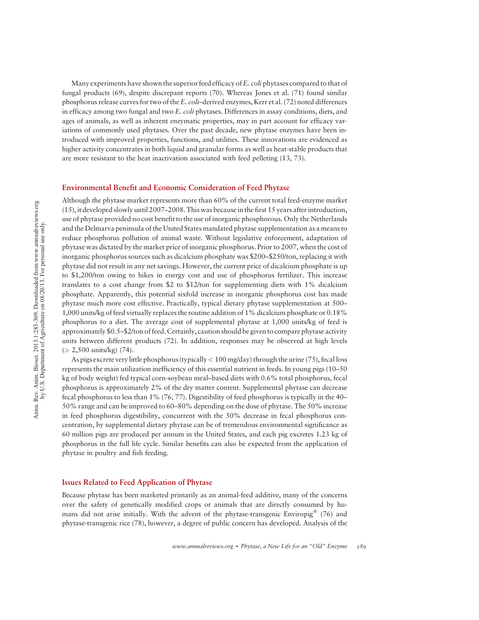Many experiments have shown the superior feed efficacy of E. coli phytases compared to that of fungal products (69), despite discrepant reports (70). Whereas Jones et al. (71) found similar phosphorus release curves for two of the E. coli-derived enzymes, Kerr et al. (72) noted differences in efficacy among two fungal and two E. coli phytases. Differences in assay conditions, diets, and ages of animals, as well as inherent enzymatic properties, may in part account for efficacy variations of commonly used phytases. Over the past decade, new phytase enzymes have been introduced with improved properties, functions, and utilities. These innovations are evidenced as higher activity concentrates in both liquid and granular forms as well as heat-stable products that are more resistant to the heat inactivation associated with feed pelleting (13, 73).

#### Environmental Benefit and Economic Consideration of Feed Phytase

Although the phytase market represents more than 60% of the current total feed-enzyme market (15), it developed slowly until 2007–2008. This was because in the first 15 years after introduction, use of phytase provided no cost benefit to the use of inorganic phosphorous. Only the Netherlands and the Delmarva peninsula of the United States mandated phytase supplementation as a means to reduce phosphorus pollution of animal waste. Without legislative enforcement, adaptation of phytase was dictated by the market price of inorganic phosphorus. Prior to 2007, when the cost of inorganic phosphorus sources such as dicalcium phosphate was \$200–\$250/ton, replacing it with phytase did not result in any net savings. However, the current price of dicalcium phosphate is up to \$1,200/ton owing to hikes in energy cost and use of phosphorus fertilizer. This increase translates to a cost change from \$2 to \$12/ton for supplementing diets with 1% dicalcium phosphate. Apparently, this potential sixfold increase in inorganic phosphorus cost has made phytase much more cost effective. Practically, typical dietary phytase supplementation at 500– 1,000 units/kg of feed virtually replaces the routine addition of 1% dicalcium phosphate or 0.18% phosphorus to a diet. The average cost of supplemental phytase at 1,000 units/kg of feed is approximately \$0.5–\$2/ton of feed. Certainly, caution should be given to compare phytase activity units between different products (72). In addition, responses may be observed at high levels  $(> 2,500 \text{ units/kg})$  (74).

As pigs excrete very little phosphorus (typically  $< 100$  mg/day) through the urine (75), fecal loss represents the main utilization inefficiency of this essential nutrient in feeds. In young pigs (10–50 kg of body weight) fed typical corn-soybean meal–based diets with 0.6% total phosphorus, fecal phosphorus is approximately 2% of the dry matter content. Supplemental phytase can decrease fecal phosphorus to less than 1% (76, 77). Digestibility of feed phosphorus is typically in the 40– 50% range and can be improved to 60–80% depending on the dose of phytase. The 50% increase in feed phosphorus digestibility, concurrent with the 50% decrease in fecal phosphorus concentration, by supplemental dietary phytase can be of tremendous environmental significance as 60 million pigs are produced per annum in the United States, and each pig excretes 1.23 kg of phosphorus in the full life cycle. Similar benefits can also be expected from the application of phytase in poultry and fish feeding.

#### Issues Related to Feed Application of Phytase

Because phytase has been marketed primarily as an animal-feed additive, many of the concerns over the safety of genetically modified crops or animals that are directly consumed by humans did not arise initially. With the advent of the phytase-transgenic Enviropig  $(76)$  and phytase-transgenic rice (78), however, a degree of public concern has developed. Analysis of the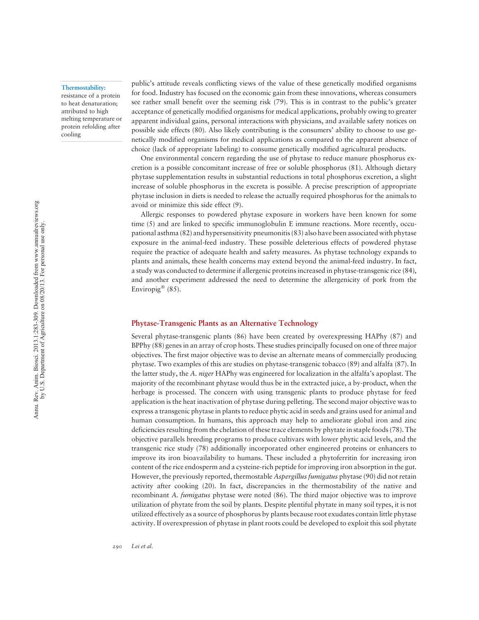#### Thermostability:

resistance of a protein to heat denaturation; attributed to high melting temperature or protein refolding after cooling

public's attitude reveals conflicting views of the value of these genetically modified organisms for food. Industry has focused on the economic gain from these innovations, whereas consumers see rather small benefit over the seeming risk (79). This is in contrast to the public's greater acceptance of genetically modified organisms for medical applications, probably owing to greater apparent individual gains, personal interactions with physicians, and available safety notices on possible side effects (80). Also likely contributing is the consumers' ability to choose to use genetically modified organisms for medical applications as compared to the apparent absence of choice (lack of appropriate labeling) to consume genetically modified agricultural products.

One environmental concern regarding the use of phytase to reduce manure phosphorus excretion is a possible concomitant increase of free or soluble phosphorus (81). Although dietary phytase supplementation results in substantial reductions in total phosphorus excretion, a slight increase of soluble phosphorus in the excreta is possible. A precise prescription of appropriate phytase inclusion in diets is needed to release the actually required phosphorus for the animals to avoid or minimize this side effect (9).

Allergic responses to powdered phytase exposure in workers have been known for some time (5) and are linked to specific immunoglobulin E immune reactions. More recently, occupational asthma (82) and hypersensitivity pneumonitis (83) also have been associated with phytase exposure in the animal-feed industry. These possible deleterious effects of powdered phytase require the practice of adequate health and safety measures. As phytase technology expands to plants and animals, these health concerns may extend beyond the animal-feed industry. In fact, a study was conducted to determine if allergenic proteins increased in phytase-transgenic rice (84), and another experiment addressed the need to determine the allergenicity of pork from the Enviropig<sup>®</sup>  $(85)$ .

#### Phytase-Transgenic Plants as an Alternative Technology

Several phytase-transgenic plants (86) have been created by overexpressing HAPhy (87) and BPPhy (88) genes in an array of crop hosts. These studies principally focused on one of three major objectives. The first major objective was to devise an alternate means of commercially producing phytase. Two examples of this are studies on phytase-transgenic tobacco (89) and alfalfa (87). In the latter study, the A. niger HAPhy was engineered for localization in the alfalfa's apoplast. The majority of the recombinant phytase would thus be in the extracted juice, a by-product, when the herbage is processed. The concern with using transgenic plants to produce phytase for feed application is the heat inactivation of phytase during pelleting. The second major objective was to express a transgenic phytase in plants to reduce phytic acid in seeds and grains used for animal and human consumption. In humans, this approach may help to ameliorate global iron and zinc deficiencies resulting from the chelation of these trace elements by phytate in staple foods (78). The objective parallels breeding programs to produce cultivars with lower phytic acid levels, and the transgenic rice study (78) additionally incorporated other engineered proteins or enhancers to improve its iron bioavailability to humans. These included a phytoferritin for increasing iron content of the rice endosperm and a cysteine-rich peptide for improving iron absorption in the gut. However, the previously reported, thermostable Aspergillus fumigatus phytase (90) did not retain activity after cooking (20). In fact, discrepancies in the thermostability of the native and recombinant A. fumigatus phytase were noted (86). The third major objective was to improve utilization of phytate from the soil by plants. Despite plentiful phytate in many soil types, it is not utilized effectively as a source of phosphorus by plants because root exudates contain little phytase activity. If overexpression of phytase in plant roots could be developed to exploit this soil phytate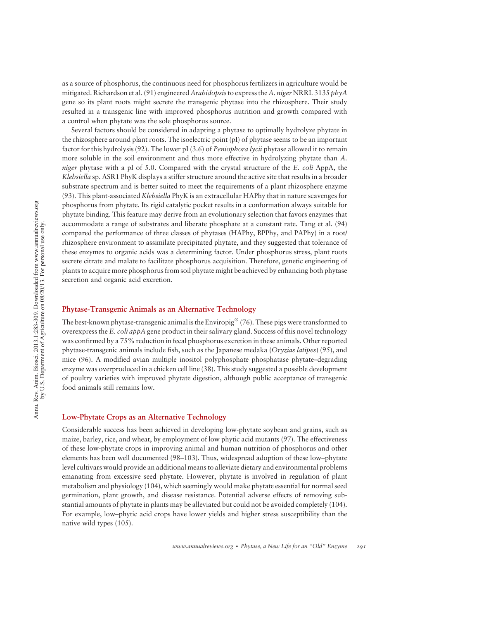as a source of phosphorus, the continuous need for phosphorus fertilizers in agriculture would be mitigated. Richardson et al. (91) engineered Arabidopsis to express the A. niger NRRL 3135 phyA gene so its plant roots might secrete the transgenic phytase into the rhizosphere. Their study resulted in a transgenic line with improved phosphorus nutrition and growth compared with a control when phytate was the sole phosphorus source.

Several factors should be considered in adapting a phytase to optimally hydrolyze phytate in the rhizosphere around plant roots. The isoelectric point (pI) of phytase seems to be an important factor for this hydrolysis (92). The lower pI (3.6) of *Peniophora lycii* phytase allowed it to remain more soluble in the soil environment and thus more effective in hydrolyzing phytate than A. niger phytase with a pI of 5.0. Compared with the crystal structure of the E. coli AppA, the Klebsiella sp. ASR1 PhyK displays a stiffer structure around the active site that results in a broader substrate spectrum and is better suited to meet the requirements of a plant rhizosphere enzyme (93). This plant-associated Klebsiella PhyK is an extracellular HAPhy that in nature scavenges for phosphorus from phytate. Its rigid catalytic pocket results in a conformation always suitable for phytate binding. This feature may derive from an evolutionary selection that favors enzymes that accommodate a range of substrates and liberate phosphate at a constant rate. Tang et al. (94) compared the performance of three classes of phytases (HAPhy, BPPhy, and PAPhy) in a root/ rhizosphere environment to assimilate precipitated phytate, and they suggested that tolerance of these enzymes to organic acids was a determining factor. Under phosphorus stress, plant roots secrete citrate and malate to facilitate phosphorus acquisition. Therefore, genetic engineering of plants to acquire more phosphorus from soil phytate might be achieved by enhancing both phytase secretion and organic acid excretion.

#### Phytase-Transgenic Animals as an Alternative Technology

The best-known phytase-transgenic animal is the Enviropig<sup>®</sup> (76). These pigs were transformed to overexpress the E. coli appA gene product in their salivary gland. Success of this novel technology was confirmed by a 75% reduction in fecal phosphorus excretion in these animals. Other reported phytase-transgenic animals include fish, such as the Japanese medaka (Oryzias latipes) (95), and mice (96). A modified avian multiple inositol polyphosphate phosphatase phytate–degrading enzyme was overproduced in a chicken cell line (38). This study suggested a possible development of poultry varieties with improved phytate digestion, although public acceptance of transgenic food animals still remains low.

#### Low-Phytate Crops as an Alternative Technology

Considerable success has been achieved in developing low-phytate soybean and grains, such as maize, barley, rice, and wheat, by employment of low phytic acid mutants (97). The effectiveness of these low-phytate crops in improving animal and human nutrition of phosphorus and other elements has been well documented (98–103). Thus, widespread adoption of these low–phytate level cultivars would provide an additional means to alleviate dietary and environmental problems emanating from excessive seed phytate. However, phytate is involved in regulation of plant metabolism and physiology (104), which seemingly would make phytate essential for normal seed germination, plant growth, and disease resistance. Potential adverse effects of removing substantial amounts of phytate in plants may be alleviated but could not be avoided completely (104). For example, low–phytic acid crops have lower yields and higher stress susceptibility than the native wild types (105).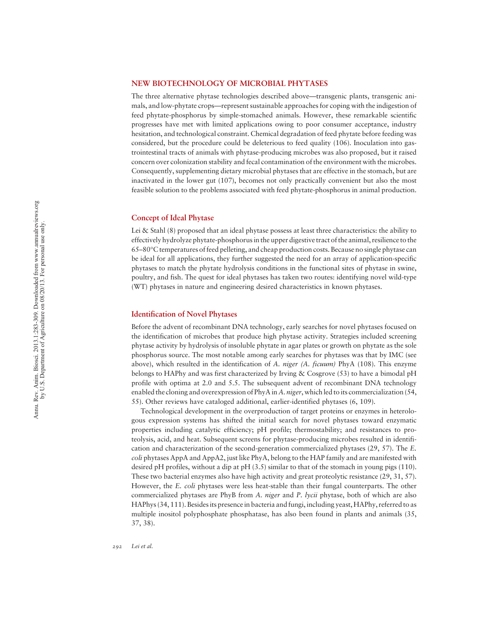#### NEW BIOTECHNOLOGY OF MICROBIAL PHYTASES

The three alternative phytase technologies described above —transgenic plants, transgenic animals, and low-phytate crops—represent sustainable approaches for coping with the indigestion of feed phytate-phosphorus by simple-stomached animals. However, these remarkable scientific progresses have met with limited applications owing to poor consumer acceptance, industry hesitation, and technological constraint. Chemical degradation of feed phytate before feeding was considered, but the procedure could be deleterious to feed quality (106). Inoculation into gastrointestinal tracts of animals with phytase-producing microbes was also proposed, but it raised concern over colonization stability and fecal contamination of the environment with the microbes. Consequently, supplementing dietary microbial phytases that are effective in the stomach, but are inactivated in the lower gut (107), becomes not only practically convenient but also the most feasible solution to the problems associated with feed phytate-phosphorus in animal production.

#### Concept of Ideal Phytase

Lei & Stahl (8) proposed that an ideal phytase possess at least three characteristics: the ability to effectively hydrolyze phytate-phosphorus in the upper digestive tract of the animal, resilience to the 65 –80 -C temperatures of feed pelleting, and cheap production costs. Because no single phytase can be ideal for all applications, they further suggested the need for an array of application-specific phytases to match the phytate hydrolysis conditions in the functional sites of phytase in swine, poultry, and fish. The quest for ideal phytases has taken two routes: identifying novel wild-type (WT) phytases in nature and engineering desired characteristics in known phytases.

#### Identification of Novel Phytases

Before the advent of recombinant DNA technology, early searches for novel phytases focused on the identification of microbes that produce high phytase activity. Strategies included screening phytase activity by hydrolysis of insoluble phytate in agar plates or growth on phytate as the sole phosphorus source. The most notable among early searches for phytases was that by IMC (see above), which resulted in the identification of A. niger (A. ficuum) PhyA (108). This enzyme belongs to HAPhy and was first characterized by Irving & Cosgrove (53) to have a bimodal pH profile with optima at 2.0 and 5.5. The subsequent advent of recombinant DNA technology enabled the cloning and overexpression of PhyA in A. niger, which led to its commercialization (54, 55). Other reviews have cataloged additional, earlier-identified phytases (6, 109).

Technological development in the overproduction of target proteins or enzymes in heterologous expression systems has shifted the initial search for novel phytases toward enzymatic properties including catalytic efficiency; pH profile; thermostability; and resistances to proteolysis, acid, and heat. Subsequent screens for phytase-producing microbes resulted in identification and characterization of the second-generation commercialized phytases (29, 57). The E. coli phytases AppA and AppA2, just like PhyA, belong to the HAP family and are manifested with desired pH profiles, without a dip at pH (3.5) similar to that of the stomach in young pigs (110). These two bacterial enzymes also have high activity and great proteolytic resistance (29, 31, 57). However, the E. coli phytases were less heat-stable than their fungal counterparts. The other commercialized phytases are PhyB from A. niger and P. lycii phytase, both of which are also HAPhys (34, 111). Besides its presence in bacteria and fungi, including yeast, HAPhy, referred to as multiple inositol polyphosphate phosphatase, has also been found in plants and animals (35, 37, 38).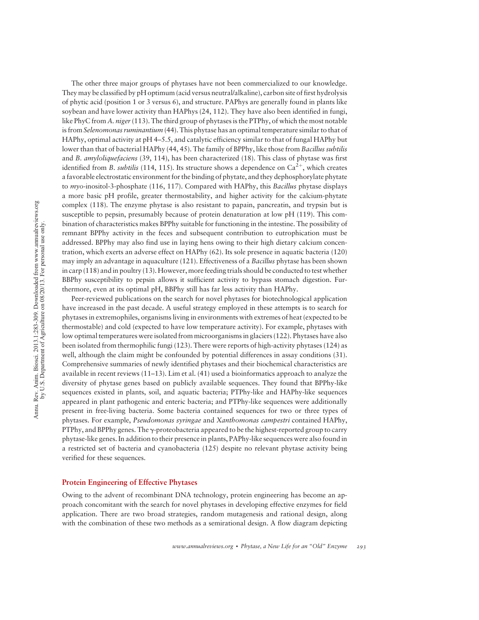The other three major groups of phytases have not been commercialized to our knowledge. They may be classified by pH optimum (acid versus neutral/alkaline), carbon site of first hydrolysis of phytic acid (position 1 or 3 versus 6), and structure. PAPhys are generally found in plants like soybean and have lower activity than HAPhys (24, 112). They have also been identified in fungi, like PhyC from A. niger (113). The third group of phytases is the PTPhy, of which the most notable is from Selenomonas ruminantium (44). This phytase has an optimal temperature similar to that of HAPhy, optimal activity at pH 4–5.5, and catalytic efficiency similar to that of fungal HAPhy but lower than that of bacterial HAPhy (44, 45). The family of BPPhy, like those from Bacillus subtilis and B. amyloliquefaciens (39, 114), has been characterized (18). This class of phytase was first identified from B. subtilis (114, 115). Its structure shows a dependence on  $Ca^{2+}$ , which creates a favorable electrostatic environment for the binding of phytate, and they dephosphorylate phytate to  $m\gamma$ -inositol-3-phosphate (116, 117). Compared with HAPhy, this *Bacillus* phytase displays a more basic pH profile, greater thermostability, and higher activity for the calcium-phytate complex (118). The enzyme phytase is also resistant to papain, pancreatin, and trypsin but is susceptible to pepsin, presumably because of protein denaturation at low pH (119). This combination of characteristics makes BPPhy suitable for functioning in the intestine. The possibility of remnant BPPhy activity in the feces and subsequent contribution to eutrophication must be addressed. BPPhy may also find use in laying hens owing to their high dietary calcium concentration, which exerts an adverse effect on HAPhy (62). Its sole presence in aquatic bacteria (120) may imply an advantage in aquaculture (121). Effectiveness of a *Bacillus* phytase has been shown in carp (118) and in poultry (13). However, more feeding trials should be conducted to test whether BBPhy susceptibility to pepsin allows it sufficient activity to bypass stomach digestion. Furthermore, even at its optimal pH, BBPhy still has far less activity than HAPhy.

Peer-reviewed publications on the search for novel phytases for biotechnological application have increased in the past decade. A useful strategy employed in these attempts is to search for phytases in extremophiles, organisms living in environments with extremes of heat (expected to be thermostable) and cold (expected to have low temperature activity). For example, phytases with low optimal temperatures were isolated from microorganisms in glaciers (122). Phytases have also been isolated from thermophilic fungi (123). There were reports of high-activity phytases (124) as well, although the claim might be confounded by potential differences in assay conditions (31). Comprehensive summaries of newly identified phytases and their biochemical characteristics are available in recent reviews (11–13). Lim et al. (41) used a bioinformatics approach to analyze the diversity of phytase genes based on publicly available sequences. They found that BPPhy-like sequences existed in plants, soil, and aquatic bacteria; PTPhy-like and HAPhy-like sequences appeared in plant pathogenic and enteric bacteria; and PTPhy-like sequences were additionally present in free-living bacteria. Some bacteria contained sequences for two or three types of phytases. For example, Pseudomonas syringae and Xanthomonas campestri contained HAPhy, PTPhy, and BPPhy genes. The  $\gamma$ -proteobacteria appeared to be the highest-reported group to carry phytase-like genes. In addition to their presence in plants, PAPhy-like sequences were also found in a restricted set of bacteria and cyanobacteria (125) despite no relevant phytase activity being verified for these sequences.

#### Protein Engineering of Effective Phytases

Owing to the advent of recombinant DNA technology, protein engineering has become an approach concomitant with the search for novel phytases in developing effective enzymes for field application. There are two broad strategies, random mutagenesis and rational design, along with the combination of these two methods as a semirational design. A flow diagram depicting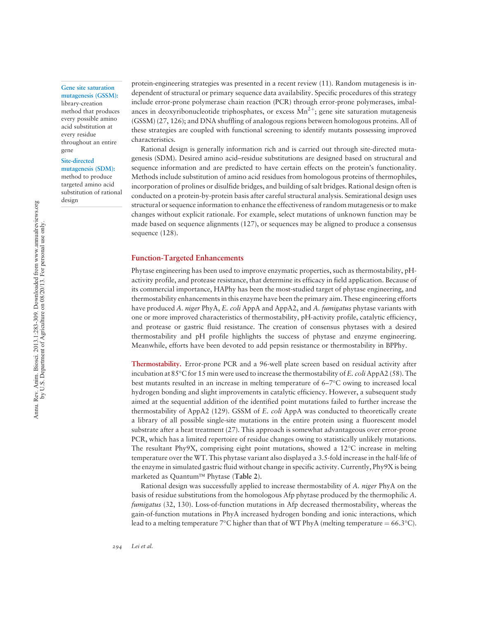#### Gene site saturation mutagenesis (GSSM):

library-creation method that produces every possible amino acid substitution at every residue throughout an entire gene

#### Site-directed

design

mutagenesis (SDM): method to produce targeted amino acid substitution of rational

protein-engineering strategies was presented in a recent review (11). Random mutagenesis is independent of structural or primary sequence data availability. Specific procedures of this strategy include error-prone polymerase chain reaction (PCR) through error-prone polymerases, imbalances in deoxyribonucleotide triphosphates, or excess  $Mn^{2+}$ ; gene site saturation mutagenesis (GSSM) (27, 126); and DNA shuffling of analogous regions between homologous proteins. All of these strategies are coupled with functional screening to identify mutants possessing improved characteristics.

Rational design is generally information rich and is carried out through site-directed mutagenesis (SDM). Desired amino acid–residue substitutions are designed based on structural and sequence information and are predicted to have certain effects on the protein's functionality. Methods include substitution of amino acid residues from homologous proteins of thermophiles, incorporation of prolines or disulfide bridges, and building of salt bridges. Rational design often is conducted on a protein-by-protein basis after careful structural analysis. Semirational design uses structural or sequence information to enhance the effectiveness of random mutagenesis or to make changes without explicit rationale. For example, select mutations of unknown function may be made based on sequence alignments (127), or sequences may be aligned to produce a consensus sequence (128).

#### Function-Targeted Enhancements

Phytase engineering has been used to improve enzymatic properties, such as thermostability, pHactivity profile, and protease resistance, that determine its efficacy in field application. Because of its commercial importance, HAPhy has been the most-studied target of phytase engineering, and thermostability enhancements in this enzyme have been the primary aim. These engineering efforts have produced A. niger PhyA, E. coli AppA and AppA2, and A. fumigatus phytase variants with one or more improved characteristics of thermostability, pH-activity profile, catalytic efficiency, and protease or gastric fluid resistance. The creation of consensus phytases with a desired thermostability and pH profile highlights the success of phytase and enzyme engineering. Meanwhile, efforts have been devoted to add pepsin resistance or thermostability in BPPhy.

Thermostability. Error-prone PCR and a 96-well plate screen based on residual activity after incubation at 85 °C for 15 min were used to increase the thermostability of E. coli AppA2 (58). The best mutants resulted in an increase in melting temperature of 6–7°C owing to increased local hydrogen bonding and slight improvements in catalytic efficiency. However, a subsequent study aimed at the sequential addition of the identified point mutations failed to further increase the thermostability of AppA2 (129). GSSM of E. coli AppA was conducted to theoretically create a library of all possible single-site mutations in the entire protein using a fluorescent model substrate after a heat treatment (27). This approach is somewhat advantageous over error-prone PCR, which has a limited repertoire of residue changes owing to statistically unlikely mutations. The resultant Phy9X, comprising eight point mutations, showed a 12°C increase in melting temperature over the WT. This phytase variant also displayed a 3.5-fold increase in the half-life of the enzyme in simulated gastric fluid without change in specific activity. Currently, Phy9X is being marketed as Quantum<sup>™</sup> Phytase (Table 2).

Rational design was successfully applied to increase thermostability of A. niger PhyA on the basis of residue substitutions from the homologous Afp phytase produced by the thermophilic A. fumigatus (32, 130). Loss-of-function mutations in Afp decreased thermostability, whereas the gain-of-function mutations in PhyA increased hydrogen bonding and ionic interactions, which lead to a melting temperature  $7^{\circ}$ C higher than that of WT PhyA (melting temperature = 66.3 $^{\circ}$ C).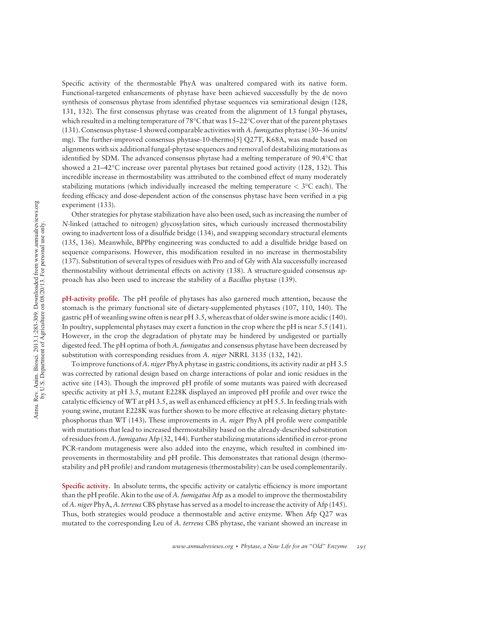Specific activity of the thermostable PhyA was unaltered compared with its native form. Functional-targeted enhancements of phytase have been achieved successfully by the de novo synthesis of consensus phytase from identified phytase sequences via semirational design (128, 131, 132). The first consensus phytase was created from the alignment of 13 fungal phytases, which resulted in a melting temperature of 78°C that was 15–22°C over that of the parent phytases (131). Consensus phytase-1 showed comparable activities with A. *fumigatus* phytase (30–36 units/ mg). The further-improved consensus phytase-10-thermo[5] Q27T, K68A, was made based on alignments with six additional fungal-phytase sequences and removal of destabilizing mutations as identified by SDM. The advanced consensus phytase had a melting temperature of 90.4°C that showed a 21–42°C increase over parental phytases but retained good activity (128, 132). This incredible increase in thermostability was attributed to the combined effect of many moderately stabilizing mutations (which individually increased the melting temperature  $<$  3°C each). The feeding efficacy and dose-dependent action of the consensus phytase have been verified in a pig experiment (133).

Other strategies for phytase stabilization have also been used, such as increasing the number of N-linked (attached to nitrogen) glycosylation sites, which curiously increased thermostability owing to inadvertent loss of a disulfide bridge (134), and swapping secondary structural elements (135, 136). Meanwhile, BPPhy engineering was conducted to add a disulfide bridge based on sequence comparisons. However, this modification resulted in no increase in thermostability (137). Substitution of several types of residues with Pro and of Gly with Ala successfully increased thermostability without detrimental effects on activity (138). A structure-guided consensus approach has also been used to increase the stability of a Bacillus phytase (139).

pH-activity profile. The pH profile of phytases has also garnered much attention, because the stomach is the primary functional site of dietary-supplemented phytases (107, 110, 140). The gastric pH of weanling swine often is near pH 3.5, whereas that of older swine is more acidic (140). In poultry, supplemental phytases may exert a function in the crop where the pH is near 5.5 (141). However, in the crop the degradation of phytate may be hindered by undigested or partially digested feed. The pH optima of both A. *fumigatus* and consensus phytase have been decreased by substitution with corresponding residues from A. *niger* NRRL 3135 (132, 142).

To improve functions of A, *niger* PhyA phytase in gastric conditions, its activity nadir at pH 3.5 was corrected by rational design based on charge interactions of polar and ionic residues in the active site (143). Though the improved pH profile of some mutants was paired with decreased specific activity at pH 3.5, mutant E228K displayed an improved pH profile and over twice the catalytic efficiency of WT at pH 3.5, as well as enhanced efficiency at pH 5.5. In feeding trials with young swine, mutant E228K was further shown to be more effective at releasing dietary phytatephosphorus than WT (143). These improvements in  $A$ . niger PhyA pH profile were compatible with mutations that lead to increased thermostability based on the already-described substitution of residues from A. fumigatus Afp (32, 144). Further stabilizing mutations identified in error-prone PCR-random mutagenesis were also added into the enzyme, which resulted in combined improvements in thermostability and pH profile. This demonstrates that rational design (thermostability and pH profile) and random mutagenesis (thermostability) can be used complementarily.

Specific activity. In absolute terms, the specific activity or catalytic efficiency is more important than the pH profile. Akin to the use of A. *fumigatus* Afp as a model to improve the thermostability of A. niger PhyA, A. terreus CBS phytase has served as a model to increase the activity of Afp (145). Thus, both strategies would produce a thermostable and active enzyme. When Afp Q27 was mutated to the corresponding Leu of A. terreus CBS phytase, the variant showed an increase in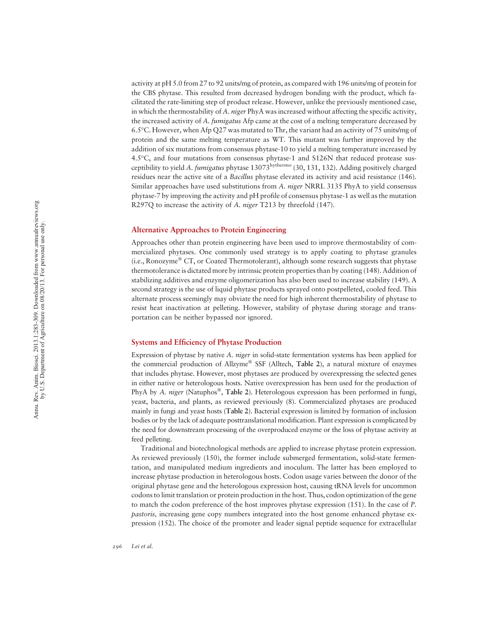activity at pH 5.0 from 27 to 92 units/mg of protein, as compared with 196 units/mg of protein for the CBS phytase. This resulted from decreased hydrogen bonding with the product, which facilitated the rate-limiting step of product release. However, unlike the previously mentioned case, in which the thermostability of A. niger PhyA was increased without affecting the specific activity, the increased activity of A. fumigatus Afp came at the cost of a melting temperature decreased by 6.5 -C. However, when Afp Q27 was mutated to Thr, the variant had an activity of 75 units/mg of protein and the same melting temperature as WT. This mutant was further improved by the addition of six mutations from consensus phytase-10 to yield a melting temperature increased by 4.5 -C, and four mutations from consensus phytase-1 and S126N that reduced protease susceptibility to yield A. fumigatus phytase 13073<sup>hythermo</sup> (30, 131, 132). Adding positively charged residues near the active site of a Bacillus phytase elevated its activity and acid resistance (146). Similar approaches have used substitutions from A. niger NRRL 3135 PhyA to yield consensus phytase-7 by improving the activity and pH profile of consensus phytase-1 as well as the mutation R297Q to increase the activity of A. *niger* T213 by threefold (147).

#### Alternative Approaches to Protein Engineering

Approaches other than protein engineering have been used to improve thermostability of commercialized phytases. One commonly used strategy is to apply coating to phytase granules (i.e., Ronozyme® CT, or Coated Thermotolerant), although some research suggests that phytase thermotolerance is dictated more by intrinsic protein properties than by coating (148). Addition of stabilizing additives and enzyme oligomerization has also been used to increase stability (149). A second strategy is the use of liquid phytase products sprayed onto postpelleted, cooled feed. This alternate process seemingly may obviate the need for high inherent thermostability of phytase to resist heat inactivation at pelleting. However, stability of phytase during storage and transportation can be neither bypassed nor ignored.

#### Systems and Efficiency of Phytase Production

Expression of phytase by native A. niger in solid-state fermentation systems has been applied for the commercial production of Allzyme® SSF (Alltech, Table 2), a natural mixture of enzymes that includes phytase. However, most phytases are produced by overexpressing the selected genes in either native or heterologous hosts. Native overexpression has been used for the production of PhyA by A. niger (Natuphos®, Table 2). Heterologous expression has been performed in fungi, yeast, bacteria, and plants, as reviewed previously (8). Commercialized phytases are produced mainly in fungi and yeast hosts (Table 2). Bacterial expression is limited by formation of inclusion bodies or by the lack of adequate posttranslational modification. Plant expression is complicated by the need for downstream processing of the overproduced enzyme or the loss of phytase activity at feed pelleting.

Traditional and biotechnological methods are applied to increase phytase protein expression. As reviewed previously (150), the former include submerged fermentation, solid-state fermentation, and manipulated medium ingredients and inoculum. The latter has been employed to increase phytase production in heterologous hosts. Codon usage varies between the donor of the original phytase gene and the heterologous expression host, causing tRNA levels for uncommon codons to limit translation or protein production in the host. Thus, codon optimization of the gene to match the codon preference of the host improves phytase expression (151). In the case of P. pastoris, increasing gene copy numbers integrated into the host genome enhanced phytase expression (152). The choice of the promoter and leader signal peptide sequence for extracellular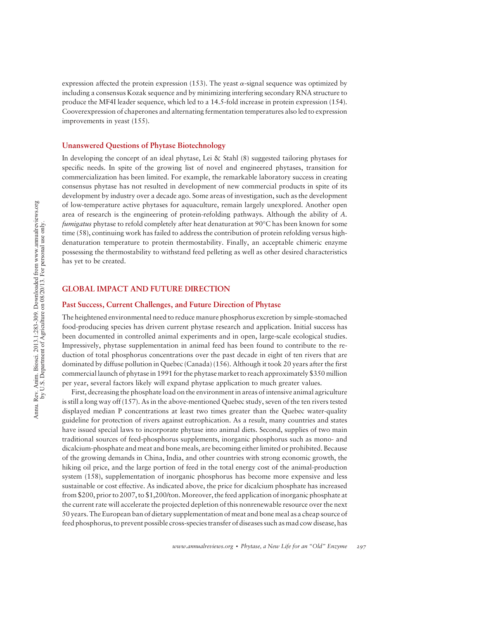expression affected the protein expression (153). The yeast  $\alpha$ -signal sequence was optimized by including a consensus Kozak sequence and by minimizing interfering secondary RNA structure to produce the MF4I leader sequence, which led to a 14.5-fold increase in protein expression (154). Cooverexpression of chaperones and alternating fermentation temperatures also led to expression improvements in yeast (155).

#### Unanswered Questions of Phytase Biotechnology

In developing the concept of an ideal phytase, Lei & Stahl (8) suggested tailoring phytases for specific needs. In spite of the growing list of novel and engineered phytases, transition for commercialization has been limited. For example, the remarkable laboratory success in creating consensus phytase has not resulted in development of new commercial products in spite of its development by industry over a decade ago. Some areas of investigation, such as the development of low-temperature active phytases for aquaculture, remain largely unexplored. Another open area of research is the engineering of protein-refolding pathways. Although the ability of A. *fumigatus* phytase to refold completely after heat denaturation at 90°C has been known for some time (58), continuing work has failed to address the contribution of protein refolding versus highdenaturation temperature to protein thermostability. Finally, an acceptable chimeric enzyme possessing the thermostability to withstand feed pelleting as well as other desired characteristics has yet to be created.

#### GLOBAL IMPACT AND FUTURE DIRECTION

#### Past Success, Current Challenges, and Future Direction of Phytase

The heightened environmental need to reduce manure phosphorus excretion by simple-stomached food-producing species has driven current phytase research and application. Initial success has been documented in controlled animal experiments and in open, large-scale ecological studies. Impressively, phytase supplementation in animal feed has been found to contribute to the reduction of total phosphorus concentrations over the past decade in eight of ten rivers that are dominated by diffuse pollution in Quebec (Canada) (156). Although it took 20 years after the first commercial launch of phytase in 1991 for the phytase market to reach approximately \$350 million per year, several factors likely will expand phytase application to much greater values.

First, decreasing the phosphate load on the environment in areas of intensive animal agriculture is still a long way off (157). As in the above-mentioned Quebec study, seven of the ten rivers tested displayed median P concentrations at least two times greater than the Quebec water-quality guideline for protection of rivers against eutrophication. As a result, many countries and states have issued special laws to incorporate phytase into animal diets. Second, supplies of two main traditional sources of feed-phosphorus supplements, inorganic phosphorus such as mono- and dicalcium-phosphate and meat and bone meals, are becoming either limited or prohibited. Because of the growing demands in China, India, and other countries with strong economic growth, the hiking oil price, and the large portion of feed in the total energy cost of the animal-production system (158), supplementation of inorganic phosphorus has become more expensive and less sustainable or cost effective. As indicated above, the price for dicalcium phosphate has increased from \$200, prior to 2007, to \$1,200/ton.Moreover, the feed application of inorganic phosphate at the current rate will accelerate the projected depletion of this nonrenewable resource over the next 50 years. The European ban of dietary supplementation of meat and bone meal as a cheap source of feed phosphorus, to prevent possible cross-species transfer of diseases such as mad cow disease, has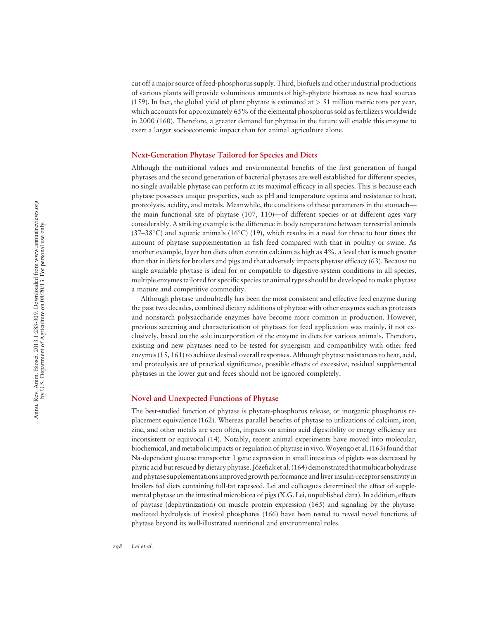cut off a major source of feed-phosphorus supply. Third, biofuels and other industrial productions of various plants will provide voluminous amounts of high-phytate biomass as new feed sources (159). In fact, the global yield of plant phytate is estimated at > 51 million metric tons per year, which accounts for approximately 65% of the elemental phosphorus sold as fertilizers worldwide in 2000 (160). Therefore, a greater demand for phytase in the future will enable this enzyme to exert a larger socioeconomic impact than for animal agriculture alone.

#### Next-Generation Phytase Tailored for Species and Diets

Although the nutritional values and environmental benefits of the first generation of fungal phytases and the second generation of bacterial phytases are well established for different species, no single available phytase can perform at its maximal efficacy in all species. This is because each phytase possesses unique properties, such as pH and temperature optima and resistance to heat, proteolysis, acidity, and metals. Meanwhile, the conditions of these parameters in the stomach the main functional site of phytase (107, 110) —of different species or at different ages vary considerably. A striking example is the difference in body temperature between terrestrial animals  $(37-38$ °C) and aquatic animals  $(16$ °C)  $(19)$ , which results in a need for three to four times the amount of phytase supplementation in fish feed compared with that in poultry or swine. As another example, layer hen diets often contain calcium as high as 4%, a level that is much greater than that in diets for broilers and pigs and that adversely impacts phytase efficacy (63). Because no single available phytase is ideal for or compatible to digestive-system conditions in all species, multiple enzymes tailored for specific species or animal types should be developed to make phytase a mature and competitive commodity.

Although phytase undoubtedly has been the most consistent and effective feed enzyme during the past two decades, combined dietary additions of phytase with other enzymes such as proteases and nonstarch polysaccharide enzymes have become more common in production. However, previous screening and characterization of phytases for feed application was mainly, if not exclusively, based on the sole incorporation of the enzyme in diets for various animals. Therefore, existing and new phytases need to be tested for synergism and compatibility with other feed enzymes (15, 161) to achieve desired overall responses. Although phytase resistances to heat, acid, and proteolysis are of practical significance, possible effects of excessive, residual supplemental phytases in the lower gut and feces should not be ignored completely.

#### Novel and Unexpected Functions of Phytase

The best-studied function of phytase is phytate-phosphorus release, or inorganic phosphorus replacement equivalence (162). Whereas parallel benefits of phytase to utilizations of calcium, iron, zinc, and other metals are seen often, impacts on amino acid digestibility or energy efficiency are inconsistent or equivocal (14). Notably, recent animal experiments have moved into molecular, biochemical, and metabolic impacts or regulation of phytase in vivo.Woyengo et al. (163) found that Na-dependent glucose transporter 1 gene expression in small intestines of piglets was decreased by phytic acid but rescued by dietary phytase. Józefiak et al. (164) demonstrated that multicarbohydrase and phytase supplementations improved growth performance and liver insulin-receptor sensitivity in broilers fed diets containing full-fat rapeseed. Lei and colleagues determined the effect of supplemental phytase on the intestinal microbiota of pigs (X.G. Lei, unpublished data). In addition, effects of phytase (dephytinization) on muscle protein expression (165) and signaling by the phytasemediated hydrolysis of inositol phosphates (166) have been tested to reveal novel functions of phytase beyond its well-illustrated nutritional and environmental roles.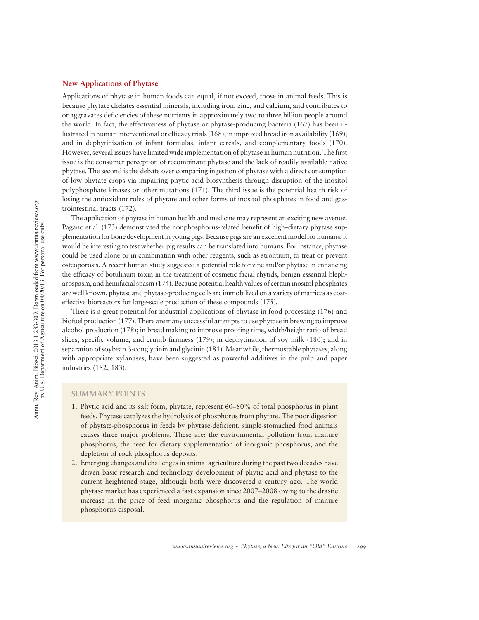#### New Applications of Phytase

Applications of phytase in human foods can equal, if not exceed, those in animal feeds. This is because phytate chelates essential minerals, including iron, zinc, and calcium, and contributes to or aggravates deficiencies of these nutrients in approximately two to three billion people around the world. In fact, the effectiveness of phytase or phytase-producing bacteria (167) has been illustrated in human interventional or efficacy trials (168); in improved bread iron availability (169); and in dephytinization of infant formulas, infant cereals, and complementary foods (170). However, several issues have limited wide implementation of phytase in human nutrition. The first issue is the consumer perception of recombinant phytase and the lack of readily available native phytase. The second is the debate over comparing ingestion of phytase with a direct consumption of low-phytate crops via impairing phytic acid biosynthesis through disruption of the inositol polyphosphate kinases or other mutations (171). The third issue is the potential health risk of losing the antioxidant roles of phytate and other forms of inositol phosphates in food and gastrointestinal tracts (172).

The application of phytase in human health and medicine may represent an exciting new avenue. Pagano et al. (173) demonstrated the nonphosphorus-related benefit of high–dietary phytase supplementation for bone development in young pigs. Because pigs are an excellent model for humans, it would be interesting to test whether pig results can be translated into humans. For instance, phytase could be used alone or in combination with other reagents, such as strontium, to treat or prevent osteoporosis. A recent human study suggested a potential role for zinc and/or phytase in enhancing the efficacy of botulinum toxin in the treatment of cosmetic facial rhytids, benign essential blepharospasm, and hemifacial spasm (174). Because potential health values of certain inositol phosphates are well known, phytase and phytase-producing cells are immobilized on a variety of matrices as costeffective bioreactors for large-scale production of these compounds (175).

There is a great potential for industrial applications of phytase in food processing (176) and biofuel production (177). There are many successful attempts to use phytase in brewing to improve alcohol production (178); in bread making to improve proofing time, width/height ratio of bread slices, specific volume, and crumb firmness (179); in dephytination of soy milk (180); and in separation of soybean  $\beta$ -conglycinin and glycinin (181). Meanwhile, thermostable phytases, along with appropriate xylanases, have been suggested as powerful additives in the pulp and paper industries (182, 183).

#### SUMMARY POINTS

- 1. Phytic acid and its salt form, phytate, represent 60–80% of total phosphorus in plant feeds. Phytase catalyzes the hydrolysis of phosphorus from phytate. The poor digestion of phytate-phosphorus in feeds by phytase-deficient, simple-stomached food animals causes three major problems. These are: the environmental pollution from manure phosphorus, the need for dietary supplementation of inorganic phosphorus, and the depletion of rock phosphorus deposits.
- 2. Emerging changes and challenges in animal agriculture during the past two decades have driven basic research and technology development of phytic acid and phytase to the current heightened stage, although both were discovered a century ago. The world phytase market has experienced a fast expansion since 2007–2008 owing to the drastic increase in the price of feed inorganic phosphorus and the regulation of manure phosphorus disposal.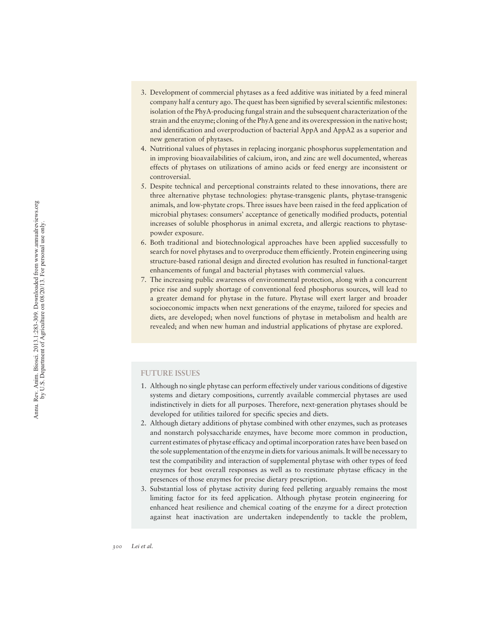- 3. Development of commercial phytases as a feed additive was initiated by a feed mineral company half a century ago. The quest has been signified by several scientific milestones: isolation of the PhyA-producing fungal strain and the subsequent characterization of the strain and the enzyme; cloning of the PhyA gene and its overexpression in the native host; and identification and overproduction of bacterial AppA and AppA2 as a superior and new generation of phytases.
- 4. Nutritional values of phytases in replacing inorganic phosphorus supplementation and in improving bioavailabilities of calcium, iron, and zinc are well documented, whereas effects of phytases on utilizations of amino acids or feed energy are inconsistent or controversial.
- 5. Despite technical and perceptional constraints related to these innovations, there are three alternative phytase technologies: phytase-transgenic plants, phytase-transgenic animals, and low-phytate crops. Three issues have been raised in the feed application of microbial phytases: consumers ' acceptance of genetically modified products, potential increases of soluble phosphorus in animal excreta, and allergic reactions to phytasepowder exposure.
- 6. Both traditional and biotechnological approaches have been applied successfully to search for novel phytases and to overproduce them efficiently. Protein engineering using structure-based rational design and directed evolution has resulted in functional-target enhancements of fungal and bacterial phytases with commercial values.
- 7. The increasing public awareness of environmental protection, along with a concurrent price rise and supply shortage of conventional feed phosphorus sources, will lead to a greater demand for phytase in the future. Phytase will exert larger and broader socioeconomic impacts when next generations of the enzyme, tailored for species and diets, are developed; when novel functions of phytase in metabolism and health are revealed; and when new human and industrial applications of phytase are explored.

#### FUTURE ISSUES

- 1. Although no single phytase can perform effectively under various conditions of digestive systems and dietary compositions, currently available commercial phytases are used indistinctively in diets for all purposes. Therefore, next-generation phytases should be developed for utilities tailored for specific species and diets.
- 2. Although dietary additions of phytase combined with other enzymes, such as proteases and nonstarch polysaccharide enzymes, have become more common in production, current estimates of phytase efficacy and optimal incorporation rates have been based on the sole supplementation of the enzyme in diets for various animals. It will be necessary to test the compatibility and interaction of supplemental phytase with other types of feed enzymes for best overall responses as well as to reestimate phytase efficacy in the presences of those enzymes for precise dietary prescription.
- 3. Substantial loss of phytase activity during feed pelleting arguably remains the most limiting factor for its feed application. Although phytase protein engineering for enhanced heat resilience and chemical coating of the enzyme for a direct protection against heat inactivation are undertaken independently to tackle the problem,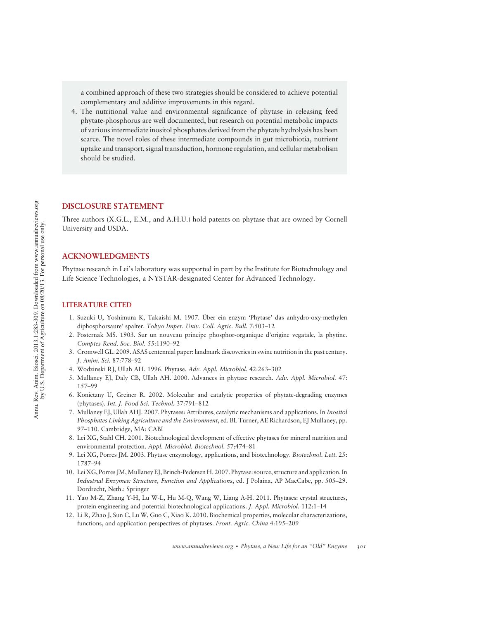a combined approach of these two strategies should be considered to achieve potential complementary and additive improvements in this regard.

4. The nutritional value and environmental significance of phytase in releasing feed phytate-phosphorus are well documented, but research on potential metabolic impacts of various intermediate inositol phosphates derived from the phytate hydrolysis has been scarce. The novel roles of these intermediate compounds in gut microbiotia, nutrient uptake and transport, signal transduction, hormone regulation, and cellular metabolism should be studied.

#### DISCLOSURE STATEMENT

Three authors (X.G.L., E.M., and A.H.U.) hold patents on phytase that are owned by Cornell University and USDA.

#### ACKNOWLEDGMENTS

Phytase research in Lei's laboratory was supported in part by the Institute for Biotechnology and Life Science Technologies, a NYSTAR-designated Center for Advanced Technology.

#### LITERATURE CITED

- 1. Suzuki U, Yoshimura K, Takaishi M. 1907. Über ein enzym 'Phytase' das anhydro-oxy-methylen diphosphorsaure' spalter. Tokyo Imper. Univ. Coll. Agric. Bull. 7:503–12
- 2. Posternak MS. 1903. Sur un nouveau principe phosphor-organique d'origine vegatale, la phytine. Comptes Rend. Soc. Biol. 55:1190–92
- 3. Cromwell GL. 2009. ASAS centennial paper: landmark discoveries in swine nutrition in the past century. J. Anim. Sci. 87:778–92
- 4. Wodzinski RJ, Ullah AH. 1996. Phytase. Adv. Appl. Microbiol. 42:263–302
- 5. Mullaney EJ, Daly CB, Ullah AH. 2000. Advances in phytase research. Adv. Appl. Microbiol. 47: 157–99
- 6. Konietzny U, Greiner R. 2002. Molecular and catalytic properties of phytate-degrading enzymes (phytases). Int. J. Food Sci. Technol. 37:791–812
- 7. Mullaney EJ, Ullah AHJ. 2007. Phytases: Attributes, catalytic mechanisms and applications. In Inositol Phosphates Linking Agriculture and the Environment, ed. BL Turner, AE Richardson, EJ Mullaney, pp. 97–110. Cambridge, MA: CABI
- 8. Lei XG, Stahl CH. 2001. Biotechnological development of effective phytases for mineral nutrition and environmental protection. Appl. Microbiol. Biotechnol. 57:474–81
- 9. Lei XG, Porres JM. 2003. Phytase enzymology, applications, and biotechnology. Biotechnol. Lett. 25: 1787–94
- 10. Lei XG, Porres JM,Mullaney EJ, Brinch-Pedersen H. 2007. Phytase: source, structure and application. In Industrial Enzymes: Structure, Function and Applications, ed. J Polaina, AP MacCabe, pp. 505–29. Dordrecht, Neth.: Springer
- 11. Yao M-Z, Zhang Y-H, Lu W-L, Hu M-Q, Wang W, Liang A-H. 2011. Phytases: crystal structures, protein engineering and potential biotechnological applications. J. Appl. Microbiol. 112:1–14
- 12. Li R, Zhao J, Sun C, Lu W, Guo C, Xiao K. 2010. Biochemical properties, molecular characterizations, functions, and application perspectives of phytases. Front. Agric. China 4:195–209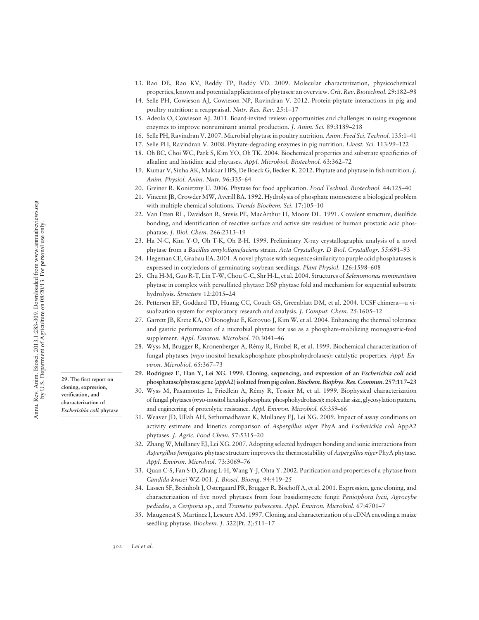29. The first report on cloning, expression, verification, and characterization of Escherichia coli phytase

- 13. Rao DE, Rao KV, Reddy TP, Reddy VD. 2009. Molecular characterization, physicochemical properties, known and potential applications of phytases: an overview. Crit. Rev. Biotechnol. 29:182–98
- 14. Selle PH, Cowieson AJ, Cowieson NP, Ravindran V. 2012. Protein-phytate interactions in pig and poultry nutrition: a reappraisal. Nutr. Res. Rev. 25:1–17
- 15. Adeola O, Cowieson AJ. 2011. Board-invited review: opportunities and challenges in using exogenous enzymes to improve nonruminant animal production. J. Anim. Sci. 89:3189–218
- 16. Selle PH, Ravindran V. 2007. Microbial phytase in poultry nutrition. Anim. Feed Sci. Technol. 135:1–41
- 17. Selle PH, Ravindran V. 2008. Phytate-degrading enzymes in pig nutrition. Livest. Sci. 113:99–122
- 18. Oh BC, Choi WC, Park S, Kim YO, Oh TK. 2004. Biochemical properties and substrate specificities of alkaline and histidine acid phytases. Appl. Microbiol. Biotechnol. 63:362–72
- 19. Kumar V, Sinha AK, Makkar HPS, De Boeck G, Becker K. 2012. Phytate and phytase in fish nutrition.J. Anim. Physiol. Anim. Nutr. 96:335–64
- 20. Greiner R, Konietzny U. 2006. Phytase for food application. Food Technol. Biotechnol. 44:125–40
- 21. Vincent JB, Crowder MW, Averill BA. 1992. Hydrolysis of phosphate monoesters: a biological problem with multiple chemical solutions. Trends Biochem. Sci. 17:105–10
- 22. Van Etten RL, Davidson R, Stevis PE, MacArthur H, Moore DL. 1991. Covalent structure, disulfide bonding, and identification of reactive surface and active site residues of human prostatic acid phosphatase. J. Biol. Chem. 266:2313–19
- 23. Ha N-C, Kim Y-O, Oh T-K, Oh B-H. 1999. Preliminary X-ray crystallographic analysis of a novel phytase from a Bacillus amyloliquefaciens strain. Acta Crystallogr. D Biol. Crystallogr. 55:691–93
- 24. Hegeman CE, Grabau EA. 2001. A novel phytase with sequence similarity to purple acid phosphatases is expressed in cotyledons of germinating soybean seedlings. Plant Physiol. 126:1598–608
- 25. Chu H-M, Guo R-T, Lin T-W, Chou C-C, Shr H-L, et al. 2004. Structures of Selenomonas ruminantium phytase in complex with persulfated phytate: DSP phytase fold and mechanism for sequential substrate hydrolysis. Structure 12:2015–24
- 26. Pettersen EF, Goddard TD, Huang CC, Couch GS, Greenblatt DM, et al. 2004. UCSF chimera—a visualization system for exploratory research and analysis. J. Comput. Chem. 25:1605–12
- 27. Garrett JB, Kretz KA, O'Donoghue E, Kerovuo J, Kim W, et al. 2004. Enhancing the thermal tolerance and gastric performance of a microbial phytase for use as a phosphate-mobilizing monogastric-feed supplement. Appl. Environ. Microbiol. 70:3041-46
- 28. Wyss M, Brugger R, Kronenberger A, Rémy R, Fimbel R, et al. 1999. Biochemical characterization of fungal phytases (myo-inositol hexakisphosphate phosphohydrolases): catalytic properties. Appl. Environ. Microbiol. 65:367–73
- 29. Rodriguez E, Han Y, Lei XG. 1999. Cloning, sequencing, and expression of an Escherichia coli acid phosphatase/phytase gene (appA2) isolated from pig colon.Biochem. Biophys. Res. Commun. 257:117–<sup>23</sup>
- 30. Wyss M, Pasamontes L, Friedlein A, Rémy R, Tessier M, et al. 1999. Biophysical characterization of fungal phytases (myo-inositol hexakisphosphate phosphohydrolases): molecular size, glycosylation pattern, and engineering of proteolytic resistance. Appl. Environ. Microbiol. 65:359–66
- 31. Weaver JD, Ullah AH, Sethumadhavan K, Mullaney EJ, Lei XG. 2009. Impact of assay conditions on activity estimate and kinetics comparison of Aspergillus niger PhyA and Escherichia coli AppA2 phytases. J. Agric. Food Chem. 57:5315–20
- 32. Zhang W, Mullaney EJ, Lei XG. 2007. Adopting selected hydrogen bonding and ionic interactions from Aspergillus fumigatus phytase structure improves the thermostability of Aspergillus niger PhyA phytase. Appl. Environ. Microbiol. 73:3069–76
- 33. Quan C-S, Fan S-D, Zhang L-H, Wang Y-J, Ohta Y. 2002. Purification and properties of a phytase from Candida krusei WZ-001. J. Biosci. Bioeng. 94:419–25
- 34. Lassen SF, Breinholt J, Ostergaard PR, Brugger R, Bischoff A, et al. 2001. Expression, gene cloning, and characterization of five novel phytases from four basidiomycete fungi: Peniophora lycii, Agrocybe pediades, a Ceriporia sp., and Trametes pubescens. Appl. Environ. Microbiol. 67:4701–7
- 35. Maugenest S, Martinez I, Lescure AM. 1997. Cloning and characterization of a cDNA encoding a maize seedling phytase. Biochem. J. 322(Pt. 2):511-17

302 Lei et al.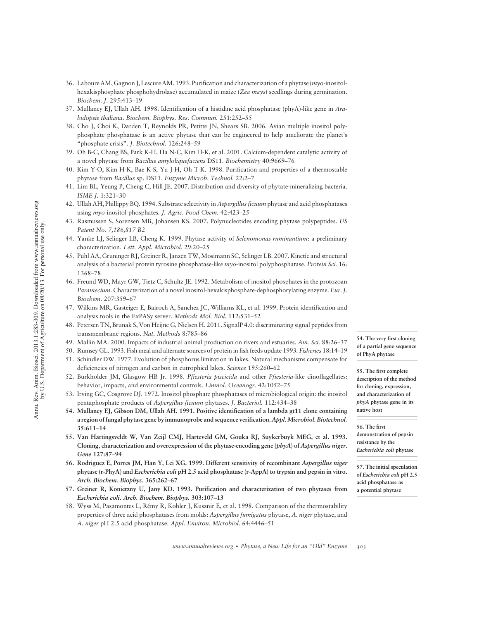- 36. Laboure AM, Gagnon J, Lescure AM. 1993. Purification and characterization of a phytase (myo-inositolhexakisphosphate phosphohydrolase) accumulated in maize (Zea mays) seedlings during germination. Biochem. J. 295:413–19
- 37. Mullaney EJ, Ullah AH. 1998. Identification of a histidine acid phosphatase (phyA)-like gene in Arabidopsis thaliana. Biochem. Biophys. Res. Commun. 251:252–55
- 38. Cho J, Choi K, Darden T, Reynolds PR, Petitte JN, Shears SB. 2006. Avian multiple inositol polyphosphate phosphatase is an active phytase that can be engineered to help ameliorate the planet's "phosphate crisis". J. Biotechnol. 126:248–59
- 39. Oh B-C, Chang BS, Park K-H, Ha N-C, Kim H-K, et al. 2001. Calcium-dependent catalytic activity of a novel phytase from Bacillus amyloliquefaciens DS11. Biochemistry 40:9669–76
- 40. Kim Y-O, Kim H-K, Bae K-S, Yu J-H, Oh T-K. 1998. Purification and properties of a thermostable phytase from Bacillus sp. DS11. Enzyme Microb. Technol. 22:2–7
- 41. Lim BL, Yeung P, Cheng C, Hill JE. 2007. Distribution and diversity of phytate-mineralizing bacteria. ISME J. 1:321–30
- 42. Ullah AH, Phillippy BQ. 1994. Substrate selectivity in Aspergillus ficuum phytase and acid phosphatases using myo-inositol phosphates. J. Agric. Food Chem. 42:423–25
- 43. Rasmussen S, Sorensen MB, Johansen KS. 2007. Polynucleotides encoding phytase polypeptides. US Patent No. 7,186,817 B2
- 44. Yanke LJ, Selinger LB, Cheng K. 1999. Phytase activity of Selenomonas ruminantium: a preliminary characterization. Lett. Appl. Microbiol. 29:20–25
- 45. Puhl AA, Gruninger RJ, Greiner R, Janzen TW, Mosimann SC, Selinger LB. 2007. Kinetic and structural analysis of a bacterial protein tyrosine phosphatase-like myo-inositol polyphosphatase. Protein Sci. 16: 1368–78
- 46. Freund WD, Mayr GW, Tietz C, Schultz JE. 1992. Metabolism of inositol phosphates in the protozoan Paramecium. Characterization of a novel inositol-hexakisphosphate-dephosphorylating enzyme. Eur. J. Biochem. 207:359–67
- 47. Wilkins MR, Gasteiger E, Bairoch A, Sanchez JC, Williams KL, et al. 1999. Protein identification and analysis tools in the ExPASy server. Methods Mol. Biol. 112:531–52
- 48. Petersen TN, Brunak S, Von Heijne G, Nielsen H. 2011. SignalP 4.0: discriminating signal peptides from transmembrane regions. Nat. Methods 8:785–86
- 49. Mallin MA. 2000. Impacts of industrial animal production on rivers and estuaries. Am. Sci. 88:26–37
- 50. Rumsey GL. 1993. Fish meal and alternate sources of protein in fish feeds update 1993. Fisheries 18:14–19
- 51. Schindler DW. 1977. Evolution of phosphorus limitation in lakes. Natural mechanisms compensate for deficiencies of nitrogen and carbon in eutrophied lakes. Science 195:260–62
- 52. Burkholder JM, Glasgow HB Jr. 1998. Pfiesteria piscicida and other Pfiesteria-like dinoflagellates: behavior, impacts, and environmental controls. Limnol. Oceanogr. 42:1052–75
- 53. Irving GC, Cosgrove DJ. 1972. Inositol phosphate phosphatases of microbiological origin: the inositol pentaphosphate products of Aspergillus ficuum phytases. J. Bacteriol. 112:434–38
- 54. Mullaney EJ, Gibson DM, Ullah AH. 1991. Positive identification of a lambda gt11 clone containing a region of fungal phytase gene by immunoprobe and sequence verification.Appl. Microbiol. Biotechnol. 35:611–14
- 55. Van Hartingsveldt W, Van Zeijl CMJ, Harteveld GM, Gouka RJ, Suykerbuyk MEG, et al. 1993. Cloning, characterization and overexpression of the phytase-encoding gene (phyA) of Aspergillus niger. Gene 127:87–<sup>94</sup>
- 56. Rodriguez E, Porres JM, Han Y, Lei XG. 1999. Different sensitivity of recombinant Aspergillus niger phytase (r-PhyA) and Escherichia coli pH 2.5 acid phosphatase (r-AppA) to trypsin and pepsin in vitro. Arch. Biochem. Biophys. 365:262–<sup>67</sup>
- 57. Greiner R, Konietzny U, Jany KD. 1993. Purification and characterization of two phytases from Escherichia coli. Arch. Biochem. Biophys. 303:107–<sup>13</sup>
- 58. Wyss M, Pasamontes L, Rémy R, Kohler J, Kusznir E, et al. 1998. Comparison of the thermostability properties of three acid phosphatases from molds: Aspergillus fumigatus phytase, A. niger phytase, and A. niger pH 2.5 acid phosphatase. Appl. Environ. Microbiol. 64:4446–51

of a partial gene sequence of PhyA phytase

54. The very first cloning

55. The first complete description of the method for cloning, expression, and characterization of phyA phytase gene in its native host

56. The first demonstration of pepsin resistance by the Escherichia coli phytase

57. The initial speculation of Escherichia coli pH 2.5 acid phosphatase as a potential phytase

www.annualreviews.org • Phytase, a New Life for an "Old" Enzyme 303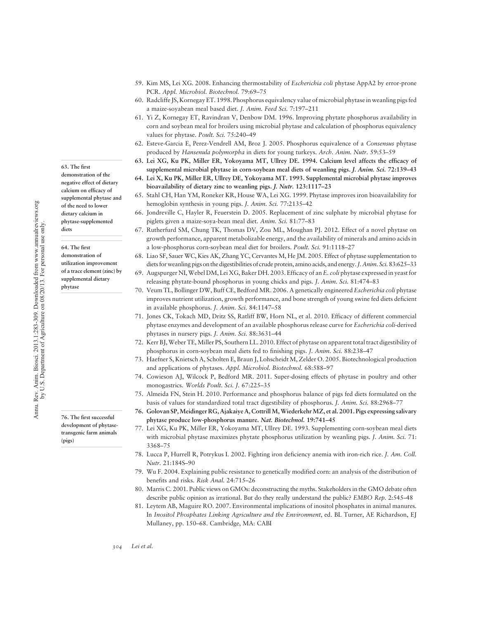63. The first demonstration of the negative effect of dietary calcium on efficacy of supplemental phytase and of the need to lower dietary calcium in phytase-supplemented diets

64. The first demonstration of utilization improvement of a trace element (zinc) by supplemental dietary phytase

76. The first successful development of phytasetransgenic farm animals

(pigs)

- 59. Kim MS, Lei XG. 2008. Enhancing thermostability of Escherichia coli phytase AppA2 by error-prone PCR. Appl. Microbiol. Biotechnol. 79:69–75
- 60. Radcliffe JS, Kornegay ET. 1998. Phosphorus equivalency value of microbial phytase in weanling pigs fed a maize-soyabean meal based diet. J. Anim. Feed Sci. 7:197–211
- 61. Yi Z, Kornegay ET, Ravindran V, Denbow DM. 1996. Improving phytate phosphorus availability in corn and soybean meal for broilers using microbial phytase and calculation of phosphorus equivalency values for phytase. Poult. Sci. 75:240-49
- 62. Esteve-Garcia E, Perez-Vendrell AM, Broz J. 2005. Phosphorus equivalence of a Consensus phytase produced by Hansenula polymorpha in diets for young turkeys. Arch. Anim. Nutr. 59:53–59
- 63. Lei XG, Ku PK, Miller ER, Yokoyama MT, Ullrey DE. 1994. Calcium level affects the efficacy of supplemental microbial phytase in corn-soybean meal diets of weanling pigs. *J. Anim. Sci.* 72:139–43
- 64. Lei X, Ku PK, Miller ER, Ullrey DE, Yokoyama MT. 1993. Supplemental microbial phytase improves bioavailability of dietary zinc to weanling pigs. J. Nutr. 123:1117–<sup>23</sup>
- 65. Stahl CH, Han YM, Roneker KR, House WA, Lei XG. 1999. Phytase improves iron bioavailability for hemoglobin synthesis in young pigs. J. Anim. Sci. 77:2135–42
- 66. Jondreville C, Hayler R, Feuerstein D. 2005. Replacement of zinc sulphate by microbial phytase for piglets given a maize-soya-bean meal diet. Anim. Sci. 81:77–83
- 67. Rutherfurd SM, Chung TK, Thomas DV, Zou ML, Moughan PJ. 2012. Effect of a novel phytase on growth performance, apparent metabolizable energy, and the availability of minerals and amino acids in a low-phosphorus corn-soybean meal diet for broilers. Poult. Sci. 91:1118–27
- 68. Liao SF, Sauer WC, Kies AK, Zhang YC, Cervantes M, He JM. 2005. Effect of phytase supplementation to diets for weanling pigs on the digestibilities of crude protein, amino acids, and energy. J. Anim. Sci. 83:625–33
- 69. Augspurger NI,Webel DM, Lei XG, Baker DH. 2003. Efficacy of anE. coli phytase expressed in yeast for releasing phytate-bound phosphorus in young chicks and pigs. J. Anim. Sci. 81:474–83
- 70. Veum TL, Bollinger DW, Buff CE, Bedford MR. 2006. A genetically engineered Escherichia coli phytase improves nutrient utilization, growth performance, and bone strength of young swine fed diets deficient in available phosphorus. J. Anim. Sci. 84:1147–58
- 71. Jones CK, Tokach MD, Dritz SS, Ratliff BW, Horn NL, et al. 2010. Efficacy of different commercial phytase enzymes and development of an available phosphorus release curve for Escherichia coli-derived phytases in nursery pigs. J. Anim. Sci. 88:3631–44
- 72. Kerr BJ, Weber TE, Miller PS, Southern LL. 2010. Effect of phytase on apparent total tract digestibility of phosphorus in corn-soybean meal diets fed to finishing pigs. J. Anim. Sci. 88:238–47
- 73. Haefner S, Knietsch A, Scholten E, Braun J, Lohscheidt M, Zelder O. 2005. Biotechnological production and applications of phytases. Appl. Microbiol. Biotechnol. 68:588-97
- 74. Cowieson AJ, Wilcock P, Bedford MR. 2011. Super-dosing effects of phytase in poultry and other monogastrics. Worlds Poult. Sci. J. 67:225–35
- 75. Almeida FN, Stein H. 2010. Performance and phosphorus balance of pigs fed diets formulated on the basis of values for standardized total tract digestibility of phosphorus. J. Anim. Sci. 88:2968–77
- 76. Golovan SP,Meidinger RG, Ajakaiye A, CottrillM,WiederkehrMZ, et al. 2001. Pigs expressing salivary phytase produce low-phosphorus manure. Nat. Biotechnol. 19:741–<sup>45</sup>
- 77. Lei XG, Ku PK, Miller ER, Yokoyama MT, Ullrey DE. 1993. Supplementing corn-soybean meal diets with microbial phytase maximizes phytate phosphorus utilization by weanling pigs. *J. Anim. Sci.* 71: 3368–75
- 78. Lucca P, Hurrell R, Potrykus I. 2002. Fighting iron deficiency anemia with iron-rich rice. J. Am. Coll. Nutr. 21:184S–90
- 79. Wu F. 2004. Explaining public resistance to genetically modified corn: an analysis of the distribution of benefits and risks. Risk Anal. 24:715–26
- 80. Marris C. 2001. Public views on GMOs: deconstructing the myths. Stakeholders in the GMO debate often describe public opinion as irrational. But do they really understand the public? EMBO Rep. 2:545–48
- 81. Leytem AB, Maguire RO. 2007. Environmental implications of inositol phosphates in animal manures. In Inositol Phosphates Linking Agriculture and the Environment, ed. BL Turner, AE Richardson, EJ Mullaney, pp. 150–68. Cambridge, MA: CABI

304 Lei et al.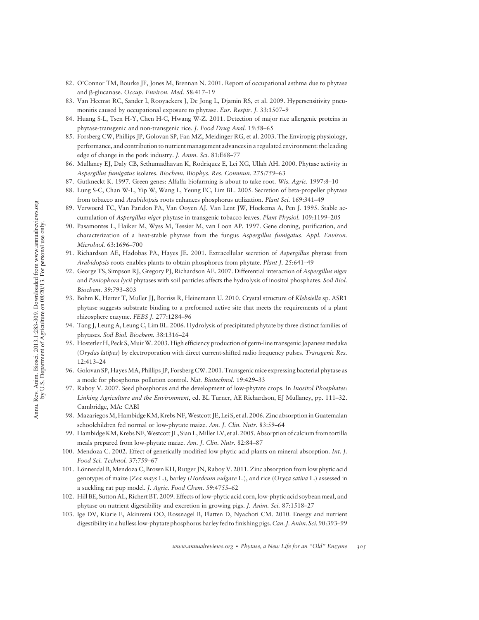- 82. O'Connor TM, Bourke JF, Jones M, Brennan N. 2001. Report of occupational asthma due to phytase and b-glucanase. Occup. Environ. Med. 58:417–19
- 83. Van Heemst RC, Sander I, Rooyackers J, De Jong L, Djamin RS, et al. 2009. Hypersensitivity pneumonitis caused by occupational exposure to phytase. Eur. Respir. J. 33:1507–9
- 84. Huang S-L, Tsen H-Y, Chen H-C, Hwang W-Z. 2011. Detection of major rice allergenic proteins in phytase-transgenic and non-transgenic rice. J. Food Drug Anal. 19:58–65
- 85. Forsberg CW, Phillips JP, Golovan SP, Fan MZ, Meidinger RG, et al. 2003. The Enviropig physiology, performance, and contribution to nutrient management advances in a regulated environment: the leading edge of change in the pork industry. J. Anim. Sci. 81:E68–77
- 86. Mullaney EJ, Daly CB, Sethumadhavan K, Rodriquez E, Lei XG, Ullah AH. 2000. Phytase activity in Aspergillus fumigatus isolates. Biochem. Biophys. Res. Commun. 275:759–63
- 87. Gutkneckt K. 1997. Green genes: Alfalfa biofarming is about to take root. Wis. Agric. 1997:8–10
- 88. Lung S-C, Chan W-L, Yip W, Wang L, Yeung EC, Lim BL. 2005. Secretion of beta-propeller phytase from tobacco and Arabidopsis roots enhances phosphorus utilization. Plant Sci. 169:341–49
- 89. Verwoerd TC, Van Paridon PA, Van Ooyen AJ, Van Lent JW, Hoekema A, Pen J. 1995. Stable accumulation of Aspergillus niger phytase in transgenic tobacco leaves. Plant Physiol. 109:1199–205
- 90. Pasamontes L, Haiker M, Wyss M, Tessier M, van Loon AP. 1997. Gene cloning, purification, and characterization of a heat-stable phytase from the fungus Aspergillus fumigatus. Appl. Environ. Microbiol. 63:1696–700
- 91. Richardson AE, Hadobas PA, Hayes JE. 2001. Extracellular secretion of Aspergillus phytase from Arabidopsis roots enables plants to obtain phosphorus from phytate. Plant J. 25:641–49
- 92. George TS, Simpson RJ, Gregory PJ, Richardson AE. 2007. Differential interaction of Aspergillus niger and Peniophora lycii phytases with soil particles affects the hydrolysis of inositol phosphates. Soil Biol. Biochem. 39:793–803
- 93. Bohm K, Herter T, Muller JJ, Borriss R, Heinemann U. 2010. Crystal structure of Klebsiella sp. ASR1 phytase suggests substrate binding to a preformed active site that meets the requirements of a plant rhizosphere enzyme. FEBS J. 277:1284–96
- 94. Tang J, Leung A, Leung C, Lim BL. 2006. Hydrolysis of precipitated phytate by three distinct families of phytases. Soil Biol. Biochem. 38:1316–24
- 95. Hostetler H, Peck S, Muir W. 2003. High efficiency production of germ-line transgenic Japanese medaka (Orydas latipes) by electroporation with direct current-shifted radio frequency pulses. Transgenic Res. 12:413–24
- 96. Golovan SP, Hayes MA, Phillips JP, Forsberg CW. 2001. Transgenic mice expressing bacterial phytase as a mode for phosphorus pollution control. Nat. Biotechnol. 19:429–33
- 97. Raboy V. 2007. Seed phosphorus and the development of low-phytate crops. In Inositol Phosphates: Linking Agriculture and the Environment, ed. BL Turner, AE Richardson, EJ Mullaney, pp. 111–32. Cambridge, MA: CABI
- 98. MazariegosM, Hambidge KM, Krebs NF,Westcott JE, Lei S, et al. 2006. Zinc absorption in Guatemalan schoolchildren fed normal or low-phytate maize. Am. J. Clin. Nutr. 83:59–64
- 99. Hambidge KM, Krebs NF,Westcott JL, Sian L,Miller LV, et al. 2005. Absorption of calcium from tortilla meals prepared from low-phytate maize. Am. J. Clin. Nutr. 82:84–87
- 100. Mendoza C. 2002. Effect of genetically modified low phytic acid plants on mineral absorption. Int. J. Food Sci. Technol. 37:759–67
- 101. Lönnerdal B, Mendoza C, Brown KH, Rutger JN, Raboy V. 2011. Zinc absorption from low phytic acid genotypes of maize (Zea mays L.), barley (Hordeum vulgare L.), and rice (Oryza sativa L.) assessed in a suckling rat pup model. J. Agric. Food Chem. 59:4755–62
- 102. Hill BE, Sutton AL, Richert BT. 2009. Effects of low-phytic acid corn, low-phytic acid soybean meal, and phytase on nutrient digestibility and excretion in growing pigs. J. Anim. Sci. 87:1518–27
- 103. Ige DV, Kiarie E, Akinremi OO, Rossnagel B, Flatten D, Nyachoti CM. 2010. Energy and nutrient digestibility in a hulless low-phytate phosphorus barley fed to finishing pigs. Can. J. Anim. Sci. 90:393-99

www.annualreviews.org • Phytase, a New Life for an "Old" Enzyme 305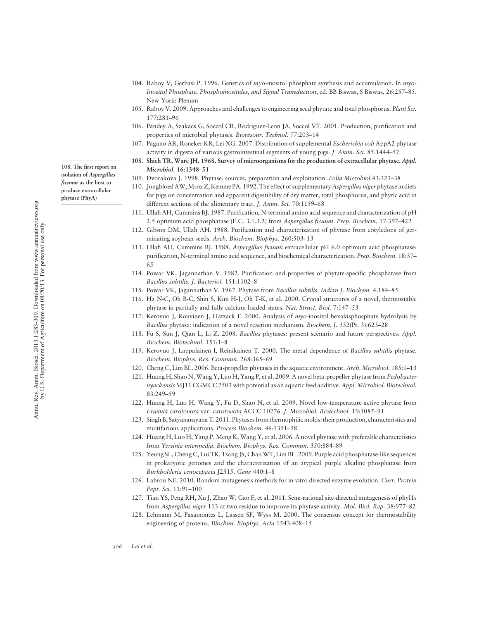108. The first report on isolation of Aspergillus ficuum as the host to produce extracellular phytase (PhyA)

104. Raboy V, Gerbasi P. 1996. Genetics of myo-inositol phosphate synthesis and accumulation. In myo-Inositol Phosphate, Phosphoinositides, and Signal Transduction, ed. BB Biswas, S Biswas, 26:257–85. New York: Plenum

- 105. Raboy V. 2009. Approaches and challenges to engineering seed phytate and total phosphorus. Plant Sci. 177:281–96
- 106. Pandey A, Szakacs G, Soccol CR, Rodriguez-Leon JA, Soccol VT. 2001. Production, purification and properties of microbial phytases. Bioresour. Technol. 77:203–14
- 107. Pagano AR, Roneker KR, Lei XG. 2007. Distribution of supplemental Escherichia coli AppA2 phytase activity in digesta of various gastrointestinal segments of young pigs. J. Anim. Sci. 85:1444–52
- 108. Shieh TR, Ware JH. 1968. Survey of microorganisms for the production of extracellular phytase. Appl. Microbiol. 16:1348–<sup>51</sup>
- 109. Dvorakova J. 1998. Phytase: sources, preparation and exploitation. Folia Microbiol.43:323–38
- 110. Jongbloed AW, Mroz Z, Kemme PA. 1992. The effect of supplementary Aspergillus niger phytase in diets for pigs on concentration and apparent digestibility of dry matter, total phosphorus, and phytic acid in different sections of the alimentary tract. J. Anim. Sci. 70:1159–68
- 111. Ullah AH, Cummins BJ. 1987. Purification, N-terminal amino acid sequence and characterization of pH 2.5 optimum acid phosphatase (E.C. 3.1.3.2) from Aspergillus ficuum. Prep. Biochem. 17:397–422
- 112. Gibson DM, Ullah AH. 1988. Purification and characterization of phytase from cotyledons of germinating soybean seeds. Arch. Biochem. Biophys. 260:503–13
- 113. Ullah AH, Cummins BJ. 1988. Aspergillus ficuum extracellular pH 6.0 optimum acid phosphatase: purification, N-terminal amino acid sequence, and biochemical characterization. Prep. Biochem. 18:37-65
- 114. Powar VK, Jagannathan V. 1982. Purification and properties of phytate-specific phosphatase from Bacillus subtilis. J. Bacteriol. 151:1102–8
- 115. Powar VK, Jagannathan V. 1967. Phytase from Bacillus subtilis. Indian J. Biochem. 4:184–85
- 116. Ha N-C, Oh B-C, Shin S, Kim H-J, Oh T-K, et al. 2000. Crystal structures of a novel, thermostable phytase in partially and fully calcium-loaded states. Nat. Struct. Biol. 7:147-53
- 117. Kerovuo J, Rouvinen J, Hatzack F. 2000. Analysis of myo-inositol hexakisphosphate hydrolysis by Bacillus phytase: indication of a novel reaction mechanism. Biochem. J. 352(Pt. 3):623–28
- 118. Fu S, Sun J, Qian L, Li Z. 2008. Bacillus phytases: present scenario and future perspectives. Appl. Biochem. Biotechnol. 151:1–8
- 119. Kerovuo J, Lappalainen I, Reinikainen T. 2000. The metal dependence of Bacillus subtilis phytase. Biochem. Biophys. Res. Commun. 268:365–69
- 120. Cheng C, Lim BL. 2006. Beta-propeller phytases in the aquatic environment. Arch. Microbiol. 185:1–13
- 121. Huang H, Shao N, Wang Y, Luo H, Yang P, et al. 2009. A novel beta-propeller phytase from Pedobacter nyackensis MJ11 CGMCC 2503 with potential as an aquatic feed additive. Appl. Microbiol. Biotechnol. 83:249–59
- 122. Huang H, Luo H, Wang Y, Fu D, Shao N, et al. 2009. Novel low-temperature-active phytase from Erwinia carotovora var. carotovota ACCC 10276. J. Microbiol. Biotechnol. 19:1085–91
- 123. Singh B, Satyanarayana T. 2011. Phytases from thermophilic molds: their production, characteristics and multifarious applications. Process Biochem. 46:1391–98
- 124. Huang H, Luo H, Yang P, Meng K, Wang Y, et al. 2006. A novel phytase with preferable characteristics from Yersinia intermedia. Biochem. Biophys. Res. Commun. 350:884–89
- 125. Yeung SL, Cheng C, Lui TK, Tsang JS, Chan WT, Lim BL. 2009. Purple acid phosphatase-like sequences in prokaryotic genomes and the characterization of an atypical purple alkaline phosphatase from Burkholderia cenocepacia J2315. Gene 440:1–8
- 126. Labrou NE. 2010. Random mutagenesis methods for in vitro directed enzyme evolution. Curr. Protein Pept. Sci. 11:91–100
- 127. Tian YS, Peng RH, Xu J, Zhao W, Gao F, et al. 2011. Semi-rational site-directed mutagenesis of phyI1s from Aspergillus niger 113 at two residue to improve its phytase activity. Mol. Biol. Rep. 38:977–82
- 128. Lehmann M, Pasamontes L, Lassen SF, Wyss M. 2000. The consensus concept for thermostability engineering of proteins. Biochim. Biophys. Acta 1543:408–15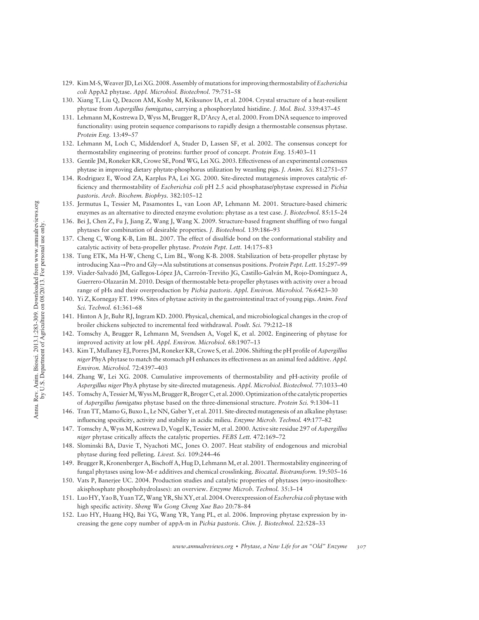- 129. Kim M-S, Weaver JD, Lei XG. 2008. Assembly of mutations for improving thermostability of Escherichia coli AppA2 phytase. Appl. Microbiol. Biotechnol. 79:751–58
- 130. Xiang T, Liu Q, Deacon AM, Koshy M, Kriksunov IA, et al. 2004. Crystal structure of a heat-resilient phytase from Aspergillus fumigatus, carrying a phosphorylated histidine. J. Mol. Biol. 339:437–45
- 131. Lehmann M, Kostrewa D, Wyss M, Brugger R, D'Arcy A, et al. 2000. From DNA sequence to improved functionality: using protein sequence comparisons to rapidly design a thermostable consensus phytase. Protein Eng. 13:49–57
- 132. Lehmann M, Loch C, Middendorf A, Studer D, Lassen SF, et al. 2002. The consensus concept for thermostability engineering of proteins: further proof of concept. Protein Eng. 15:403–11
- 133. Gentile JM, Roneker KR, Crowe SE, Pond WG, Lei XG. 2003. Effectiveness of an experimental consensus phytase in improving dietary phytate-phosphorus utilization by weanling pigs. J. Anim. Sci. 81:2751–57
- 134. Rodriguez E, Wood ZA, Karplus PA, Lei XG. 2000. Site-directed mutagenesis improves catalytic efficiency and thermostability of Escherichia coli pH 2.5 acid phosphatase/phytase expressed in Pichia pastoris. Arch. Biochem. Biophys. 382:105–12
- 135. Jermutus L, Tessier M, Pasamontes L, van Loon AP, Lehmann M. 2001. Structure-based chimeric enzymes as an alternative to directed enzyme evolution: phytase as a test case. J. Biotechnol. 85:15–24
- 136. Bei J, Chen Z, Fu J, Jiang Z, Wang J, Wang X. 2009. Structure-based fragment shuffling of two fungal phytases for combination of desirable properties. J. Biotechnol. 139:186–93
- 137. Cheng C, Wong K-B, Lim BL. 2007. The effect of disulfide bond on the conformational stability and catalytic activity of beta-propeller phytase. Protein Pept. Lett. 14:175–83
- 138. Tung ETK, Ma H-W, Cheng C, Lim BL, Wong K-B. 2008. Stabilization of beta-propeller phytase by introducing Xaa→Pro and Gly→Ala substitutions at consensus positions. Protein Pept. Lett. 15:297–99
- 139. Viader-Salvadó JM, Gallegos-López JA, Carreón-Treviño JG, Castillo-Galván M, Rojo-Domínguez A, Guerrero-Olazarán M. 2010. Design of thermostable beta-propeller phytases with activity over a broad range of pHs and their overproduction by Pichia pastoris. Appl. Environ. Microbiol. 76:6423–30
- 140. Yi Z, Kornegay ET. 1996. Sites of phytase activity in the gastrointestinal tract of young pigs. Anim. Feed Sci. Technol. 61:361–68
- 141. Hinton A Jr, Buhr RJ, Ingram KD. 2000. Physical, chemical, and microbiological changes in the crop of broiler chickens subjected to incremental feed withdrawal. Poult. Sci. 79:212–18
- 142. Tomschy A, Brugger R, Lehmann M, Svendsen A, Vogel K, et al. 2002. Engineering of phytase for improved activity at low pH. Appl. Environ. Microbiol. 68:1907–13
- 143. Kim T, Mullaney EJ, Porres JM, Roneker KR, Crowe S, et al. 2006. Shifting the pH profile of Aspergillus niger PhyA phytase to match the stomach pH enhances its effectiveness as an animal feed additive. Appl. Environ. Microbiol. 72:4397–403
- 144. Zhang W, Lei XG. 2008. Cumulative improvements of thermostability and pH-activity profile of Aspergillus niger PhyA phytase by site-directed mutagenesis. Appl. Microbiol. Biotechnol. 77:1033–40
- 145. Tomschy A, Tessier M, Wyss M, Brugger R, Broger C, et al. 2000. Optimization of the catalytic properties of Aspergillus fumigatus phytase based on the three-dimensional structure. Protein Sci. 9:1304–11
- 146. Tran TT, Mamo G, Buxo L, Le NN, Gaber Y, et al. 2011. Site-directed mutagenesis of an alkaline phytase: influencing specificity, activity and stability in acidic milieu. Enzyme Microb. Technol. 49:177–82
- 147. Tomschy A, Wyss M, Kostrewa D, Vogel K, Tessier M, et al. 2000. Active site residue 297 of Aspergillus niger phytase critically affects the catalytic properties. FEBS Lett. 472:169-72
- 148. Slominski BA, Davie T, Nyachoti MC, Jones O. 2007. Heat stability of endogenous and microbial phytase during feed pelleting. Livest. Sci. 109:244–46
- 149. Brugger R, Kronenberger A, Bischoff A, Hug D, Lehmann M, et al. 2001. Thermostability engineering of fungal phytases using low-M-r additives and chemical crosslinking. Biocatal. Biotransform. 19:505–16
- 150. Vats P, Banerjee UC. 2004. Production studies and catalytic properties of phytases (myo-inositolhexakisphosphate phosphohydrolases): an overview. Enzyme Microb. Technol. 35:3–14
- 151. Luo HY, Yao B, Yuan TZ, Wang YR, Shi XY, et al. 2004. Overexpression of Escherchia coli phytase with high specific activity. Sheng Wu Gong Cheng Xue Bao 20:78–84
- 152. Luo HY, Huang HQ, Bai YG, Wang YR, Yang PL, et al. 2006. Improving phytase expression by increasing the gene copy number of appA-m in Pichia pastoris. Chin. J. Biotechnol. 22:528–33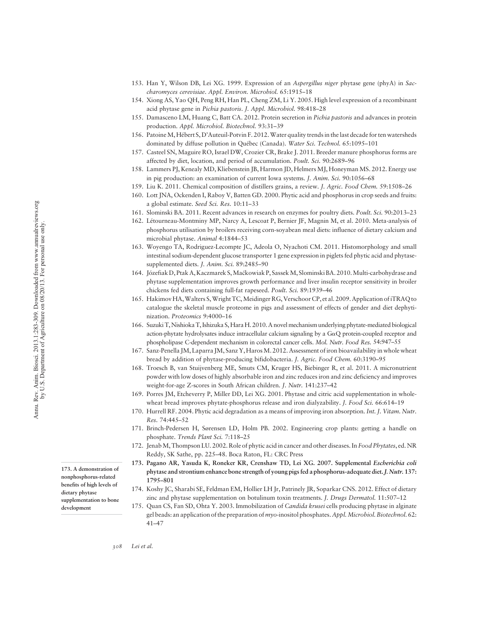- 153. Han Y, Wilson DB, Lei XG. 1999. Expression of an Aspergillus niger phytase gene (phyA) in Saccharomyces cerevisiae. Appl. Environ. Microbiol. 65:1915–18
- 154. Xiong AS, Yao QH, Peng RH, Han PL, Cheng ZM, Li Y. 2005. High level expression of a recombinant acid phytase gene in Pichia pastoris. J. Appl. Microbiol. 98:418–28
- 155. Damasceno LM, Huang C, Batt CA. 2012. Protein secretion in Pichia pastoris and advances in protein production. Appl. Microbiol. Biotechnol. 93:31–39
- 156. PatoineM, Hébert S, D'Auteuil-Potvin F. 2012.Water quality trends in the last decade for ten watersheds dominated by diffuse pollution in Québec (Canada). Water Sci. Technol. 65:1095-101
- 157. Casteel SN, Maguire RO, Israel DW, Crozier CR, Brake J. 2011. Breeder manure phosphorus forms are affected by diet, location, and period of accumulation. Poult. Sci. 90:2689-96
- 158. Lammers PJ, Kenealy MD, Kliebenstein JB, Harmon JD, Helmers MJ, Honeyman MS. 2012. Energy use in pig production: an examination of current Iowa systems. J. Anim. Sci. 90:1056–68
- 159. Liu K. 2011. Chemical composition of distillers grains, a review. J. Agric. Food Chem. 59:1508–26
- 160. Lott JNA, Ockenden I, Raboy V, Batten GD. 2000. Phytic acid and phosphorus in crop seeds and fruits: a global estimate. Seed Sci. Res. 10:11–33
- 161. Slominski BA. 2011. Recent advances in research on enzymes for poultry diets. Poult. Sci. 90:2013–23
- 162. Létourneau-Montminy MP, Narcy A, Lescoat P, Bernier JF, Magnin M, et al. 2010. Meta-analysis of phosphorus utilisation by broilers receiving corn-soyabean meal diets: influence of dietary calcium and microbial phytase. Animal 4:1844–53
- 163. Woyengo TA, Rodriguez-Lecompte JC, Adeola O, Nyachoti CM. 2011. Histomorphology and small intestinal sodium-dependent glucose transporter 1 gene expression in piglets fed phytic acid and phytasesupplemented diets. J. Anim. Sci. 89:2485-90
- 164. Józefiak D, Ptak A, Kaczmarek S, Maćkowiak P, Sassek M, Slominski BA. 2010. Multi-carbohydrase and phytase supplementation improves growth performance and liver insulin receptor sensitivity in broiler chickens fed diets containing full-fat rapeseed. Poult. Sci. 89:1939–46
- 165. Hakimov HA,Walters S,Wright TC,Meidinger RG, Verschoor CP, et al. 2009. Application of iTRAQ to catalogue the skeletal muscle proteome in pigs and assessment of effects of gender and diet dephytinization. Proteomics 9:4000–16
- 166. Suzuki T, Nishioka T, Ishizuka S, Hara H. 2010. A novel mechanism underlying phytate-mediated biological action-phytate hydrolysates induce intracellular calcium signaling by a  $G\alpha Q$  protein-coupled receptor and phospholipase C-dependent mechanism in colorectal cancer cells. Mol. Nutr. Food Res. 54:947–55
- 167. Sanz-Penella JM, Laparra JM, Sanz Y, HarosM. 2012. Assessment of iron bioavailability in whole wheat bread by addition of phytase-producing bifidobacteria. J. Agric. Food Chem. 60:3190–95
- 168. Troesch B, van Stuijvenberg ME, Smuts CM, Kruger HS, Biebinger R, et al. 2011. A micronutrient powder with low doses of highly absorbable iron and zinc reduces iron and zinc deficiency and improves weight-for-age Z-scores in South African children. J. Nutr. 141:237–42
- 169. Porres JM, Etcheverry P, Miller DD, Lei XG. 2001. Phytase and citric acid supplementation in wholewheat bread improves phytate-phosphorus release and iron dialyzability. *J. Food Sci.* 66:614–19
- 170. Hurrell RF. 2004. Phytic acid degradation as a means of improving iron absorption. Int. J. Vitam. Nutr. Res. 74:445–52
- 171. Brinch-Pedersen H, Sørensen LD, Holm PB. 2002. Engineering crop plants: getting a handle on phosphate. Trends Plant Sci. 7:118–25
- 172. JenabM, Thompson LU. 2002. Role of phytic acid in cancer and other diseases. In Food Phytates, ed. NR Reddy, SK Sathe, pp. 225–48. Boca Raton, FL: CRC Press
- 173. Pagano AR, Yasuda K, Roneker KR, Crenshaw TD, Lei XG. 2007. Supplemental Escherichia coli phytase and strontium enhance bone strength of young pigs fed a phosphorus-adequate diet.J. Nutr. 137: 1795–801
- 174. Koshy JC, Sharabi SE, Feldman EM, Hollier LH Jr, Patrinely JR, Soparkar CNS. 2012. Effect of dietary zinc and phytase supplementation on botulinum toxin treatments. J. Drugs Dermatol. 11:507–12
- 175. Quan CS, Fan SD, Ohta Y. 2003. Immobilization of Candida krusei cells producing phytase in alginate gel beads: an application of the preparation of myo-inositol phosphates. Appl.Microbiol. Biotechnol. 62: 41–47

173. A demonstration of nonphosphorus-related benefits of high levels of dietary phytase supplementation to bone development

308 Lei et al.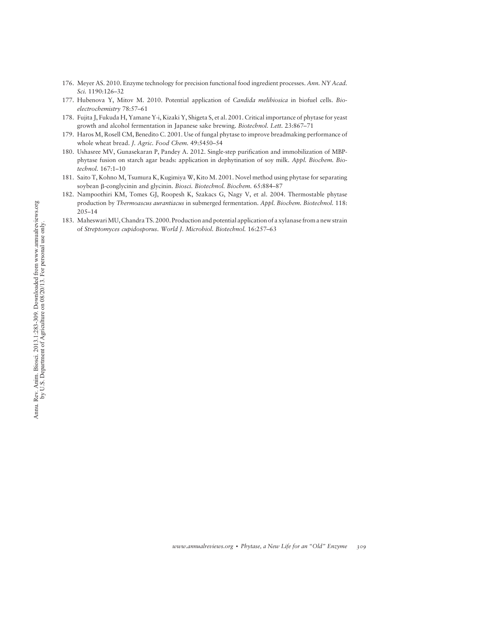- 176. Meyer AS. 2010. Enzyme technology for precision functional food ingredient processes. Ann. NY Acad. Sci. 1190:126–32
- 177. Hubenova Y, Mitov M. 2010. Potential application of Candida melibiosica in biofuel cells. Bioelectrochemistry 78:57–61
- 178. Fujita J, Fukuda H, Yamane Y-i, Kizaki Y, Shigeta S, et al. 2001. Critical importance of phytase for yeast growth and alcohol fermentation in Japanese sake brewing. Biotechnol. Lett. 23:867–71
- 179. Haros M, Rosell CM, Benedito C. 2001. Use of fungal phytase to improve breadmaking performance of whole wheat bread. J. Agric. Food Chem. 49:5450-54
- 180. Ushasree MV, Gunasekaran P, Pandey A. 2012. Single-step purification and immobilization of MBPphytase fusion on starch agar beads: application in dephytination of soy milk. Appl. Biochem. Biotechnol. 167:1–10
- 181. Saito T, Kohno M, Tsumura K, Kugimiya W, Kito M. 2001. Novel method using phytase for separating soybean  $\beta$ -conglycinin and glycinin. Biosci. Biotechnol. Biochem. 65:884-87
- 182. Nampoothiri KM, Tomes GJ, Roopesh K, Szakacs G, Nagy V, et al. 2004. Thermostable phytase production by Thermoascus aurantiacus in submerged fermentation. Appl. Biochem. Biotechnol. 118: 205–14
- 183. MaheswariMU, Chandra TS. 2000. Production and potential application of a xylanase from a new strain of Streptomyces cupidosporus. World J. Microbiol. Biotechnol. 16:257–63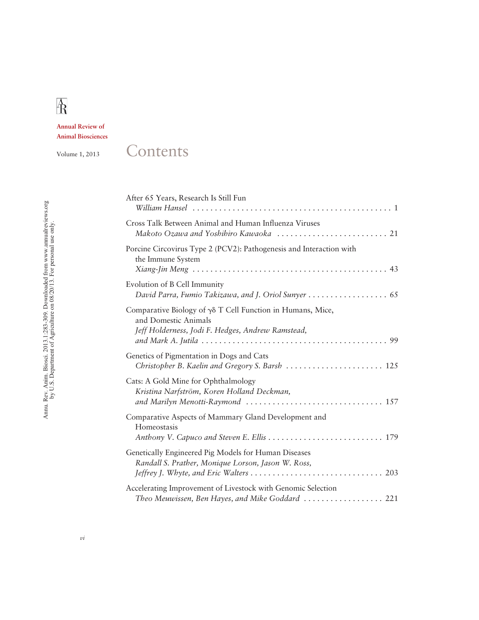# $\rm \AA$

Annual Review of Animal Biosciences

### Volume 1, 2013 Contents

| After 65 Years, Research Is Still Fun                                                                                                               |
|-----------------------------------------------------------------------------------------------------------------------------------------------------|
| Cross Talk Between Animal and Human Influenza Viruses                                                                                               |
| Porcine Circovirus Type 2 (PCV2): Pathogenesis and Interaction with<br>the Immune System                                                            |
| Evolution of B Cell Immunity<br>David Parra, Fumio Takizawa, and J. Oriol Sunyer 65                                                                 |
| Comparative Biology of $\gamma\delta$ T Cell Function in Humans, Mice,<br>and Domestic Animals<br>Jeff Holderness, Jodi F. Hedges, Andrew Ramstead, |
| Genetics of Pigmentation in Dogs and Cats<br>Christopher B. Kaelin and Gregory S. Barsh  125                                                        |
| Cats: A Gold Mine for Ophthalmology<br>Kristina Narfström, Koren Holland Deckman,                                                                   |
| Comparative Aspects of Mammary Gland Development and<br>Homeostasis                                                                                 |
| Genetically Engineered Pig Models for Human Diseases<br>Randall S. Prather, Monique Lorson, Jason W. Ross,                                          |
| Accelerating Improvement of Livestock with Genomic Selection<br>Theo Meuwissen, Ben Hayes, and Mike Goddard  221                                    |

# Annu. Rev. Anim. Biosci. 2013.1:283-309. Downloaded from www.annualreviews.org<br>by U.S. Department of Agriculture on 08/20/13. For personal use only. Annu. Rev. Anim. Biosci. 2013.1:283-309. Downloaded from www.annualreviews.org by U.S. Department of Agriculture on 08/20/13. For personal use only.